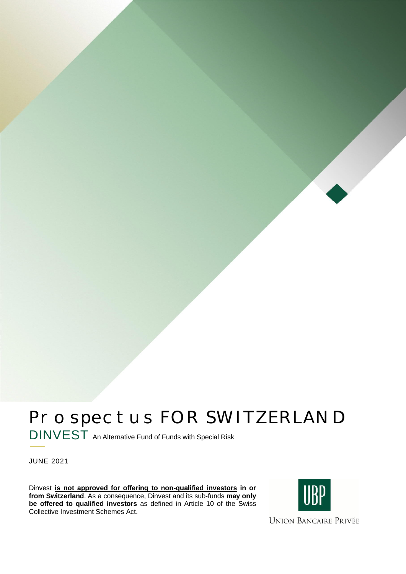# Prospectus FOR SWITZERLAND DINVEST An Alternative Fund of Funds with Special Risk

JUNE 2021

Dinvest **is not approved for offering to non-qualified investors in or from Switzerland**. As a consequence, Dinvest and its sub-funds **may only be offered to qualified investors** as defined in Article 10 of the Swiss Collective Investment Schemes Act.



**UNION BANCAIRE PRIVÉE**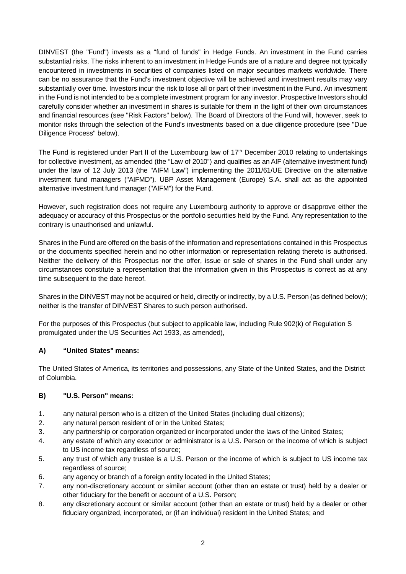DINVEST (the "Fund") invests as a "fund of funds" in Hedge Funds. An investment in the Fund carries substantial risks. The risks inherent to an investment in Hedge Funds are of a nature and degree not typically encountered in investments in securities of companies listed on major securities markets worldwide. There can be no assurance that the Fund's investment objective will be achieved and investment results may vary substantially over time. Investors incur the risk to lose all or part of their investment in the Fund. An investment in the Fund is not intended to be a complete investment program for any investor. Prospective Investors should carefully consider whether an investment in shares is suitable for them in the light of their own circumstances and financial resources (see "Risk Factors" below). The Board of Directors of the Fund will, however, seek to monitor risks through the selection of the Fund's investments based on a due diligence procedure (see "Due Diligence Process" below).

The Fund is registered under Part II of the Luxembourg law of 17<sup>th</sup> December 2010 relating to undertakings for collective investment, as amended (the "Law of 2010") and qualifies as an AIF (alternative investment fund) under the law of 12 July 2013 (the "AIFM Law") implementing the 2011/61/UE Directive on the alternative investment fund managers ("AIFMD"). UBP Asset Management (Europe) S.A. shall act as the appointed alternative investment fund manager ("AIFM") for the Fund.

However, such registration does not require any Luxembourg authority to approve or disapprove either the adequacy or accuracy of this Prospectus or the portfolio securities held by the Fund. Any representation to the contrary is unauthorised and unlawful.

Shares in the Fund are offered on the basis of the information and representations contained in this Prospectus or the documents specified herein and no other information or representation relating thereto is authorised. Neither the delivery of this Prospectus nor the offer, issue or sale of shares in the Fund shall under any circumstances constitute a representation that the information given in this Prospectus is correct as at any time subsequent to the date hereof.

Shares in the DINVEST may not be acquired or held, directly or indirectly, by a U.S. Person (as defined below); neither is the transfer of DINVEST Shares to such person authorised.

For the purposes of this Prospectus (but subject to applicable law, including Rule 902(k) of Regulation S promulgated under the US Securities Act 1933, as amended),

# **A) "United States" means:**

The United States of America, its territories and possessions, any State of the United States, and the District of Columbia.

# **B) "U.S. Person" means:**

- 1. any natural person who is a citizen of the United States (including dual citizens);
- 2. any natural person resident of or in the United States;
- 3. any partnership or corporation organized or incorporated under the laws of the United States;
- 4. any estate of which any executor or administrator is a U.S. Person or the income of which is subject to US income tax regardless of source;
- 5. any trust of which any trustee is a U.S. Person or the income of which is subject to US income tax regardless of source;
- 6. any agency or branch of a foreign entity located in the United States;
- 7. any non-discretionary account or similar account (other than an estate or trust) held by a dealer or other fiduciary for the benefit or account of a U.S. Person;
- 8. any discretionary account or similar account (other than an estate or trust) held by a dealer or other fiduciary organized, incorporated, or (if an individual) resident in the United States; and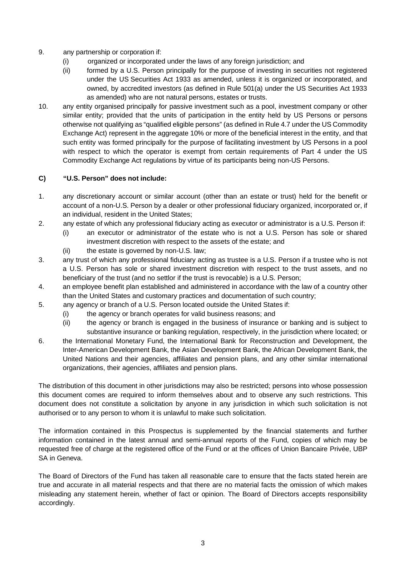- 9. any partnership or corporation if:
	- (i) organized or incorporated under the laws of any foreign jurisdiction; and
	- (ii) formed by a U.S. Person principally for the purpose of investing in securities not registered under the US Securities Act 1933 as amended, unless it is organized or incorporated, and owned, by accredited investors (as defined in Rule 501(a) under the US Securities Act 1933 as amended) who are not natural persons, estates or trusts.
- 10. any entity organised principally for passive investment such as a pool, investment company or other similar entity; provided that the units of participation in the entity held by US Persons or persons otherwise not qualifying as "qualified eligible persons" (as defined in Rule 4.7 under the US Commodity Exchange Act) represent in the aggregate 10% or more of the beneficial interest in the entity, and that such entity was formed principally for the purpose of facilitating investment by US Persons in a pool with respect to which the operator is exempt from certain requirements of Part 4 under the US Commodity Exchange Act regulations by virtue of its participants being non-US Persons.

#### **C) "U.S. Person" does not include:**

- 1. any discretionary account or similar account (other than an estate or trust) held for the benefit or account of a non-U.S. Person by a dealer or other professional fiduciary organized, incorporated or, if an individual, resident in the United States;
- 2. any estate of which any professional fiduciary acting as executor or administrator is a U.S. Person if:
	- (i) an executor or administrator of the estate who is not a U.S. Person has sole or shared investment discretion with respect to the assets of the estate; and
	- (ii) the estate is governed by non-U.S. law;
- 3. any trust of which any professional fiduciary acting as trustee is a U.S. Person if a trustee who is not a U.S. Person has sole or shared investment discretion with respect to the trust assets, and no beneficiary of the trust (and no settlor if the trust is revocable) is a U.S. Person;
- 4. an employee benefit plan established and administered in accordance with the law of a country other than the United States and customary practices and documentation of such country;
- 5. any agency or branch of a U.S. Person located outside the United States if:
	- (i) the agency or branch operates for valid business reasons; and
	- (ii) the agency or branch is engaged in the business of insurance or banking and is subject to substantive insurance or banking regulation, respectively, in the jurisdiction where located; or
- 6. the International Monetary Fund, the International Bank for Reconstruction and Development, the Inter-American Development Bank, the Asian Development Bank, the African Development Bank, the United Nations and their agencies, affiliates and pension plans, and any other similar international organizations, their agencies, affiliates and pension plans.

The distribution of this document in other jurisdictions may also be restricted; persons into whose possession this document comes are required to inform themselves about and to observe any such restrictions. This document does not constitute a solicitation by anyone in any jurisdiction in which such solicitation is not authorised or to any person to whom it is unlawful to make such solicitation.

The information contained in this Prospectus is supplemented by the financial statements and further information contained in the latest annual and semi-annual reports of the Fund, copies of which may be requested free of charge at the registered office of the Fund or at the offices of Union Bancaire Privée, UBP SA in Geneva.

The Board of Directors of the Fund has taken all reasonable care to ensure that the facts stated herein are true and accurate in all material respects and that there are no material facts the omission of which makes misleading any statement herein, whether of fact or opinion. The Board of Directors accepts responsibility accordingly.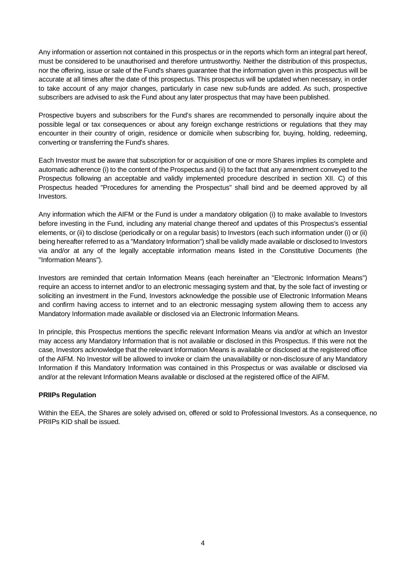Any information or assertion not contained in this prospectus or in the reports which form an integral part hereof, must be considered to be unauthorised and therefore untrustworthy. Neither the distribution of this prospectus, nor the offering, issue or sale of the Fund's shares guarantee that the information given in this prospectus will be accurate at all times after the date of this prospectus. This prospectus will be updated when necessary, in order to take account of any major changes, particularly in case new sub-funds are added. As such, prospective subscribers are advised to ask the Fund about any later prospectus that may have been published.

Prospective buyers and subscribers for the Fund's shares are recommended to personally inquire about the possible legal or tax consequences or about any foreign exchange restrictions or regulations that they may encounter in their country of origin, residence or domicile when subscribing for, buying, holding, redeeming, converting or transferring the Fund's shares.

Each Investor must be aware that subscription for or acquisition of one or more Shares implies its complete and automatic adherence (i) to the content of the Prospectus and (ii) to the fact that any amendment conveyed to the Prospectus following an acceptable and validly implemented procedure described in section XII. C) of this Prospectus headed "Procedures for amending the Prospectus" shall bind and be deemed approved by all Investors.

Any information which the AIFM or the Fund is under a mandatory obligation (i) to make available to Investors before investing in the Fund, including any material change thereof and updates of this Prospectus's essential elements, or (ii) to disclose (periodically or on a regular basis) to Investors (each such information under (i) or (ii) being hereafter referred to as a "Mandatory Information") shall be validly made available or disclosed to Investors via and/or at any of the legally acceptable information means listed in the Constitutive Documents (the "Information Means").

Investors are reminded that certain Information Means (each hereinafter an "Electronic Information Means") require an access to internet and/or to an electronic messaging system and that, by the sole fact of investing or soliciting an investment in the Fund, Investors acknowledge the possible use of Electronic Information Means and confirm having access to internet and to an electronic messaging system allowing them to access any Mandatory Information made available or disclosed via an Electronic Information Means.

In principle, this Prospectus mentions the specific relevant Information Means via and/or at which an Investor may access any Mandatory Information that is not available or disclosed in this Prospectus. If this were not the case, Investors acknowledge that the relevant Information Means is available or disclosed at the registered office of the AIFM. No Investor will be allowed to invoke or claim the unavailability or non-disclosure of any Mandatory Information if this Mandatory Information was contained in this Prospectus or was available or disclosed via and/or at the relevant Information Means available or disclosed at the registered office of the AIFM.

# **PRIIPs Regulation**

Within the EEA, the Shares are solely advised on, offered or sold to Professional Investors. As a consequence, no PRIIPs KID shall be issued.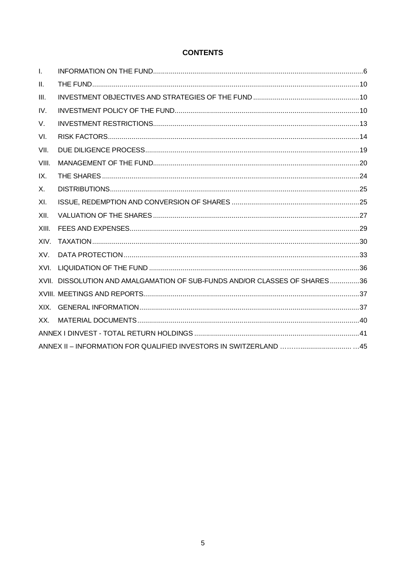# **CONTENTS**

| $\mathbf{I}$ . |                                                                            |  |
|----------------|----------------------------------------------------------------------------|--|
| II.            |                                                                            |  |
| III.           |                                                                            |  |
| IV.            |                                                                            |  |
| V.             |                                                                            |  |
| VI.            |                                                                            |  |
| VII.           |                                                                            |  |
| VIII.          |                                                                            |  |
| IX.            |                                                                            |  |
| Х.             |                                                                            |  |
| XI.            |                                                                            |  |
| XII.           |                                                                            |  |
| XIII.          |                                                                            |  |
| XIV.           |                                                                            |  |
| XV.            |                                                                            |  |
| XVI.           |                                                                            |  |
|                | XVII. DISSOLUTION AND AMALGAMATION OF SUB-FUNDS AND/OR CLASSES OF SHARES36 |  |
|                |                                                                            |  |
| XIX.           |                                                                            |  |
| XX.            |                                                                            |  |
|                |                                                                            |  |
|                |                                                                            |  |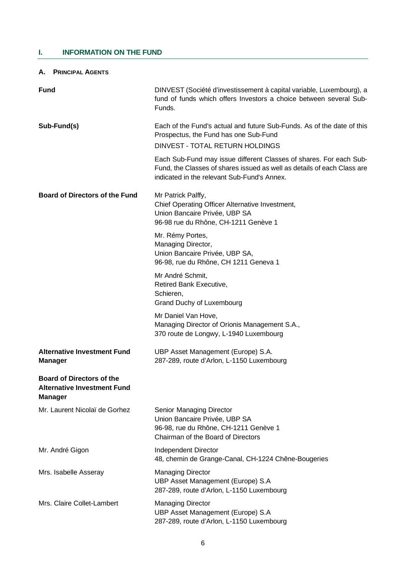# **I. INFORMATION ON THE FUND**

#### **A. PRINCIPAL AGENTS**

| <b>Fund</b>                                                                              | DINVEST (Société d'investissement à capital variable, Luxembourg), a<br>fund of funds which offers Investors a choice between several Sub-<br>Funds.                                                                                                                                                                                               |  |  |
|------------------------------------------------------------------------------------------|----------------------------------------------------------------------------------------------------------------------------------------------------------------------------------------------------------------------------------------------------------------------------------------------------------------------------------------------------|--|--|
| Sub-Fund(s)                                                                              | Each of the Fund's actual and future Sub-Funds. As of the date of this<br>Prospectus, the Fund has one Sub-Fund<br>DINVEST - TOTAL RETURN HOLDINGS<br>Each Sub-Fund may issue different Classes of shares. For each Sub-<br>Fund, the Classes of shares issued as well as details of each Class are<br>indicated in the relevant Sub-Fund's Annex. |  |  |
| <b>Board of Directors of the Fund</b>                                                    | Mr Patrick Palffy,<br>Chief Operating Officer Alternative Investment,<br>Union Bancaire Privée, UBP SA<br>96-98 rue du Rhône, CH-1211 Genève 1<br>Mr. Rémy Portes,<br>Managing Director,<br>Union Bancaire Privée, UBP SA,                                                                                                                         |  |  |
|                                                                                          | 96-98, rue du Rhône, CH 1211 Geneva 1<br>Mr André Schmit,<br>Retired Bank Executive,<br>Schieren,<br>Grand Duchy of Luxembourg                                                                                                                                                                                                                     |  |  |
|                                                                                          | Mr Daniel Van Hove,<br>Managing Director of Orionis Management S.A.,<br>370 route de Longwy, L-1940 Luxembourg                                                                                                                                                                                                                                     |  |  |
| <b>Alternative Investment Fund</b><br><b>Manager</b>                                     | UBP Asset Management (Europe) S.A.<br>287-289, route d'Arlon, L-1150 Luxembourg                                                                                                                                                                                                                                                                    |  |  |
| <b>Board of Directors of the</b><br><b>Alternative Investment Fund</b><br><b>Manager</b> |                                                                                                                                                                                                                                                                                                                                                    |  |  |
| Mr. Laurent Nicolaï de Gorhez                                                            | Senior Managing Director<br>Union Bancaire Privée, UBP SA<br>96-98, rue du Rhône, CH-1211 Genève 1<br>Chairman of the Board of Directors                                                                                                                                                                                                           |  |  |
| Mr. André Gigon                                                                          | Independent Director<br>48, chemin de Grange-Canal, CH-1224 Chêne-Bougeries                                                                                                                                                                                                                                                                        |  |  |
| Mrs. Isabelle Asseray                                                                    | <b>Managing Director</b><br>UBP Asset Management (Europe) S.A<br>287-289, route d'Arlon, L-1150 Luxembourg                                                                                                                                                                                                                                         |  |  |
| Mrs. Claire Collet-Lambert                                                               | <b>Managing Director</b><br>UBP Asset Management (Europe) S.A<br>287-289, route d'Arlon, L-1150 Luxembourg                                                                                                                                                                                                                                         |  |  |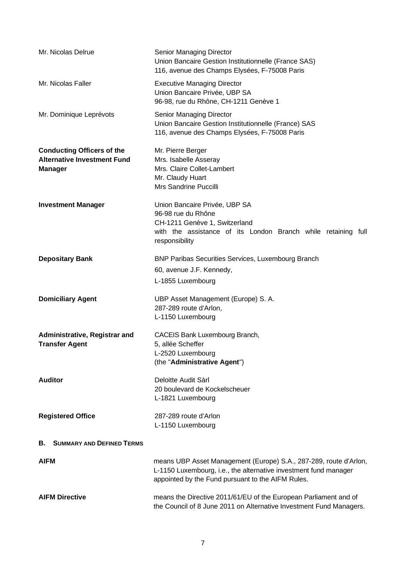| Mr. Nicolas Delrue                                                                        | Senior Managing Director<br>Union Bancaire Gestion Institutionnelle (France SAS)<br>116, avenue des Champs Elysées, F-75008 Paris                                                          |  |  |  |
|-------------------------------------------------------------------------------------------|--------------------------------------------------------------------------------------------------------------------------------------------------------------------------------------------|--|--|--|
| Mr. Nicolas Faller                                                                        | <b>Executive Managing Director</b><br>Union Bancaire Privée, UBP SA<br>96-98, rue du Rhône, CH-1211 Genève 1                                                                               |  |  |  |
| Mr. Dominique Leprévots                                                                   | Senior Managing Director<br>Union Bancaire Gestion Institutionnelle (France) SAS<br>116, avenue des Champs Elysées, F-75008 Paris                                                          |  |  |  |
| <b>Conducting Officers of the</b><br><b>Alternative Investment Fund</b><br><b>Manager</b> | Mr. Pierre Berger<br>Mrs. Isabelle Asseray<br>Mrs. Claire Collet-Lambert<br>Mr. Claudy Huart<br>Mrs Sandrine Puccilli                                                                      |  |  |  |
| <b>Investment Manager</b>                                                                 | Union Bancaire Privée, UBP SA<br>96-98 rue du Rhône<br>CH-1211 Genève 1, Switzerland<br>with the assistance of its London Branch while retaining full<br>responsibility                    |  |  |  |
| <b>Depositary Bank</b>                                                                    | <b>BNP Paribas Securities Services, Luxembourg Branch</b><br>60, avenue J.F. Kennedy,<br>L-1855 Luxembourg                                                                                 |  |  |  |
| <b>Domiciliary Agent</b>                                                                  | UBP Asset Management (Europe) S. A.<br>287-289 route d'Arlon,<br>L-1150 Luxembourg                                                                                                         |  |  |  |
| Administrative, Registrar and<br><b>Transfer Agent</b>                                    | CACEIS Bank Luxembourg Branch,<br>5, allée Scheffer<br>L-2520 Luxembourg<br>(the "Administrative Agent")                                                                                   |  |  |  |
| <b>Auditor</b>                                                                            | Deloitte Audit Sàrl<br>20 boulevard de Kockelscheuer<br>L-1821 Luxembourg                                                                                                                  |  |  |  |
| <b>Registered Office</b>                                                                  | 287-289 route d'Arlon<br>L-1150 Luxembourg                                                                                                                                                 |  |  |  |
| <b>SUMMARY AND DEFINED TERMS</b><br>В.                                                    |                                                                                                                                                                                            |  |  |  |
| <b>AIFM</b>                                                                               | means UBP Asset Management (Europe) S.A., 287-289, route d'Arlon,<br>L-1150 Luxembourg, i.e., the alternative investment fund manager<br>appointed by the Fund pursuant to the AIFM Rules. |  |  |  |
| <b>AIFM Directive</b>                                                                     | means the Directive 2011/61/EU of the European Parliament and of<br>the Council of 8 June 2011 on Alternative Investment Fund Managers.                                                    |  |  |  |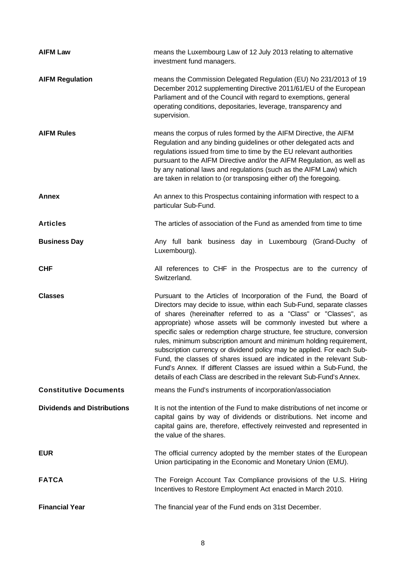| <b>AIFM Law</b>                    | means the Luxembourg Law of 12 July 2013 relating to alternative<br>investment fund managers.                                                                                                                                                                                                                                                                                                                                                                                                                                                                                                                                                                                                                                              |  |  |  |
|------------------------------------|--------------------------------------------------------------------------------------------------------------------------------------------------------------------------------------------------------------------------------------------------------------------------------------------------------------------------------------------------------------------------------------------------------------------------------------------------------------------------------------------------------------------------------------------------------------------------------------------------------------------------------------------------------------------------------------------------------------------------------------------|--|--|--|
| <b>AIFM Regulation</b>             | means the Commission Delegated Regulation (EU) No 231/2013 of 19<br>December 2012 supplementing Directive 2011/61/EU of the European<br>Parliament and of the Council with regard to exemptions, general<br>operating conditions, depositaries, leverage, transparency and<br>supervision.                                                                                                                                                                                                                                                                                                                                                                                                                                                 |  |  |  |
| <b>AIFM Rules</b>                  | means the corpus of rules formed by the AIFM Directive, the AIFM<br>Regulation and any binding guidelines or other delegated acts and<br>regulations issued from time to time by the EU relevant authorities<br>pursuant to the AIFM Directive and/or the AIFM Regulation, as well as<br>by any national laws and regulations (such as the AIFM Law) which<br>are taken in relation to (or transposing either of) the foregoing.                                                                                                                                                                                                                                                                                                           |  |  |  |
| <b>Annex</b>                       | An annex to this Prospectus containing information with respect to a<br>particular Sub-Fund.                                                                                                                                                                                                                                                                                                                                                                                                                                                                                                                                                                                                                                               |  |  |  |
| <b>Articles</b>                    | The articles of association of the Fund as amended from time to time                                                                                                                                                                                                                                                                                                                                                                                                                                                                                                                                                                                                                                                                       |  |  |  |
| <b>Business Day</b>                | Any full bank business day in Luxembourg (Grand-Duchy of<br>Luxembourg).                                                                                                                                                                                                                                                                                                                                                                                                                                                                                                                                                                                                                                                                   |  |  |  |
| <b>CHF</b>                         | All references to CHF in the Prospectus are to the currency of<br>Switzerland.                                                                                                                                                                                                                                                                                                                                                                                                                                                                                                                                                                                                                                                             |  |  |  |
| <b>Classes</b>                     | Pursuant to the Articles of Incorporation of the Fund, the Board of<br>Directors may decide to issue, within each Sub-Fund, separate classes<br>of shares (hereinafter referred to as a "Class" or "Classes", as<br>appropriate) whose assets will be commonly invested but where a<br>specific sales or redemption charge structure, fee structure, conversion<br>rules, minimum subscription amount and minimum holding requirement,<br>subscription currency or dividend policy may be applied. For each Sub-<br>Fund, the classes of shares issued are indicated in the relevant Sub-<br>Fund's Annex. If different Classes are issued within a Sub-Fund, the<br>details of each Class are described in the relevant Sub-Fund's Annex. |  |  |  |
| <b>Constitutive Documents</b>      | means the Fund's instruments of incorporation/association                                                                                                                                                                                                                                                                                                                                                                                                                                                                                                                                                                                                                                                                                  |  |  |  |
| <b>Dividends and Distributions</b> | It is not the intention of the Fund to make distributions of net income or<br>capital gains by way of dividends or distributions. Net income and<br>capital gains are, therefore, effectively reinvested and represented in<br>the value of the shares.                                                                                                                                                                                                                                                                                                                                                                                                                                                                                    |  |  |  |
| <b>EUR</b>                         | The official currency adopted by the member states of the European<br>Union participating in the Economic and Monetary Union (EMU).                                                                                                                                                                                                                                                                                                                                                                                                                                                                                                                                                                                                        |  |  |  |
| <b>FATCA</b>                       | The Foreign Account Tax Compliance provisions of the U.S. Hiring<br>Incentives to Restore Employment Act enacted in March 2010.                                                                                                                                                                                                                                                                                                                                                                                                                                                                                                                                                                                                            |  |  |  |
| <b>Financial Year</b>              | The financial year of the Fund ends on 31st December.                                                                                                                                                                                                                                                                                                                                                                                                                                                                                                                                                                                                                                                                                      |  |  |  |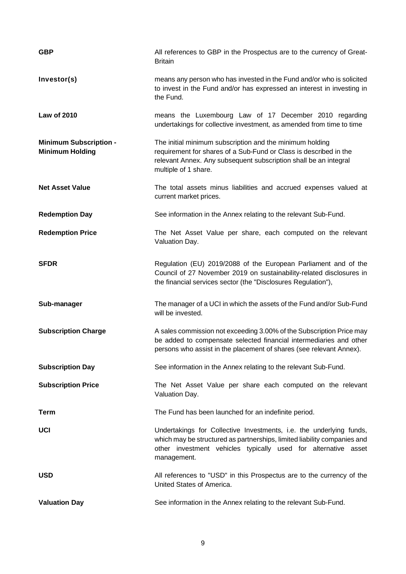| <b>GBP</b>                                              | All references to GBP in the Prospectus are to the currency of Great-<br><b>Britain</b>                                                                                                                                          |  |  |  |  |
|---------------------------------------------------------|----------------------------------------------------------------------------------------------------------------------------------------------------------------------------------------------------------------------------------|--|--|--|--|
| Investor(s)                                             | means any person who has invested in the Fund and/or who is solicited<br>to invest in the Fund and/or has expressed an interest in investing in<br>the Fund.                                                                     |  |  |  |  |
| <b>Law of 2010</b>                                      | means the Luxembourg Law of 17 December 2010 regarding<br>undertakings for collective investment, as amended from time to time                                                                                                   |  |  |  |  |
| <b>Minimum Subscription -</b><br><b>Minimum Holding</b> | The initial minimum subscription and the minimum holding<br>requirement for shares of a Sub-Fund or Class is described in the<br>relevant Annex. Any subsequent subscription shall be an integral<br>multiple of 1 share.        |  |  |  |  |
| <b>Net Asset Value</b>                                  | The total assets minus liabilities and accrued expenses valued at<br>current market prices.                                                                                                                                      |  |  |  |  |
| <b>Redemption Day</b>                                   | See information in the Annex relating to the relevant Sub-Fund.                                                                                                                                                                  |  |  |  |  |
| <b>Redemption Price</b>                                 | The Net Asset Value per share, each computed on the relevant<br>Valuation Day.                                                                                                                                                   |  |  |  |  |
| <b>SFDR</b>                                             | Regulation (EU) 2019/2088 of the European Parliament and of the<br>Council of 27 November 2019 on sustainability-related disclosures in<br>the financial services sector (the "Disclosures Regulation"),                         |  |  |  |  |
| Sub-manager                                             | The manager of a UCI in which the assets of the Fund and/or Sub-Fund<br>will be invested.                                                                                                                                        |  |  |  |  |
| <b>Subscription Charge</b>                              | A sales commission not exceeding 3.00% of the Subscription Price may<br>be added to compensate selected financial intermediaries and other<br>persons who assist in the placement of shares (see relevant Annex).                |  |  |  |  |
| <b>Subscription Day</b>                                 | See information in the Annex relating to the relevant Sub-Fund.                                                                                                                                                                  |  |  |  |  |
| <b>Subscription Price</b>                               | The Net Asset Value per share each computed on the relevant<br>Valuation Day.                                                                                                                                                    |  |  |  |  |
| <b>Term</b>                                             | The Fund has been launched for an indefinite period.                                                                                                                                                                             |  |  |  |  |
| <b>UCI</b>                                              | Undertakings for Collective Investments, i.e. the underlying funds,<br>which may be structured as partnerships, limited liability companies and<br>other investment vehicles typically used for alternative asset<br>management. |  |  |  |  |
| <b>USD</b>                                              | All references to "USD" in this Prospectus are to the currency of the<br>United States of America.                                                                                                                               |  |  |  |  |
| <b>Valuation Day</b>                                    | See information in the Annex relating to the relevant Sub-Fund.                                                                                                                                                                  |  |  |  |  |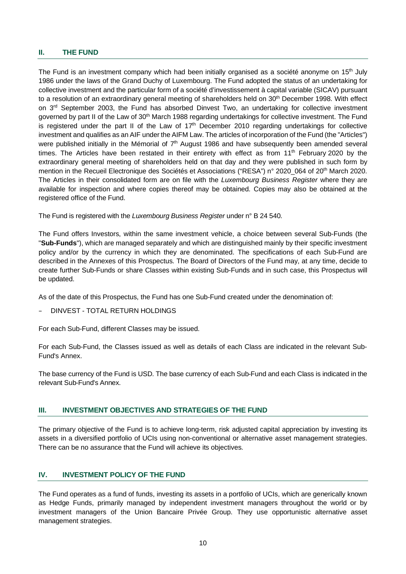#### **II. THE FUND**

The Fund is an investment company which had been initially organised as a société anonyme on 15<sup>th</sup> July 1986 under the laws of the Grand Duchy of Luxembourg. The Fund adopted the status of an undertaking for collective investment and the particular form of a société d'investissement à capital variable (SICAV) pursuant to a resolution of an extraordinary general meeting of shareholders held on 30<sup>th</sup> December 1998. With effect on 3<sup>rd</sup> September 2003, the Fund has absorbed Dinvest Two, an undertaking for collective investment governed by part II of the Law of 30<sup>th</sup> March 1988 regarding undertakings for collective investment. The Fund is registered under the part II of the Law of  $17<sup>th</sup>$  December 2010 regarding undertakings for collective investment and qualifies as an AIF under the AIFM Law. The articles of incorporation of the Fund (the "Articles") were published initially in the Mémorial of 7<sup>th</sup> August 1986 and have subsequently been amended several times. The Articles have been restated in their entirety with effect as from 11<sup>th</sup> February 2020 by the extraordinary general meeting of shareholders held on that day and they were published in such form by mention in the Recueil Electronique des Sociétés et Associations ("RESA") n° 2020 064 of 20<sup>th</sup> March 2020. The Articles in their consolidated form are on file with the *Luxembourg Business Register* where they are available for inspection and where copies thereof may be obtained. Copies may also be obtained at the registered office of the Fund.

The Fund is registered with the *Luxembourg Business Register* under n° B 24 540.

The Fund offers Investors, within the same investment vehicle, a choice between several Sub-Funds (the "**Sub-Funds**"), which are managed separately and which are distinguished mainly by their specific investment policy and/or by the currency in which they are denominated. The specifications of each Sub-Fund are described in the Annexes of this Prospectus. The Board of Directors of the Fund may, at any time, decide to create further Sub-Funds or share Classes within existing Sub-Funds and in such case, this Prospectus will be updated.

As of the date of this Prospectus, the Fund has one Sub-Fund created under the denomination of:

– DINVEST - TOTAL RETURN HOLDINGS

For each Sub-Fund, different Classes may be issued.

For each Sub-Fund, the Classes issued as well as details of each Class are indicated in the relevant Sub-Fund's Annex.

The base currency of the Fund is USD. The base currency of each Sub-Fund and each Class is indicated in the relevant Sub-Fund's Annex.

#### **III. INVESTMENT OBJECTIVES AND STRATEGIES OF THE FUND**

The primary objective of the Fund is to achieve long-term, risk adjusted capital appreciation by investing its assets in a diversified portfolio of UCIs using non-conventional or alternative asset management strategies. There can be no assurance that the Fund will achieve its objectives.

# **IV. INVESTMENT POLICY OF THE FUND**

The Fund operates as a fund of funds, investing its assets in a portfolio of UCIs, which are generically known as Hedge Funds, primarily managed by independent investment managers throughout the world or by investment managers of the Union Bancaire Privée Group. They use opportunistic alternative asset management strategies.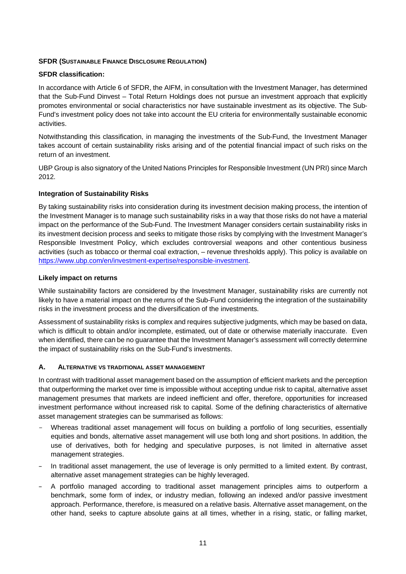#### **SFDR (SUSTAINABLE FINANCE DISCLOSURE REGULATION)**

#### **SFDR classification:**

In accordance with Article 6 of SFDR, the AIFM, in consultation with the Investment Manager, has determined that the Sub-Fund Dinvest – Total Return Holdings does not pursue an investment approach that explicitly promotes environmental or social characteristics nor have sustainable investment as its objective. The Sub-Fund's investment policy does not take into account the EU criteria for environmentally sustainable economic activities.

Notwithstanding this classification, in managing the investments of the Sub-Fund, the Investment Manager takes account of certain sustainability risks arising and of the potential financial impact of such risks on the return of an investment.

UBP Group is also signatory of the United Nations Principles for Responsible Investment (UN PRI) since March 2012.

#### **Integration of Sustainability Risks**

By taking sustainability risks into consideration during its investment decision making process, the intention of the Investment Manager is to manage such sustainability risks in a way that those risks do not have a material impact on the performance of the Sub-Fund. The Investment Manager considers certain sustainability risks in its investment decision process and seeks to mitigate those risks by complying with the Investment Manager's Responsible Investment Policy, which excludes controversial weapons and other contentious business activities (such as tobacco or thermal coal extraction, – revenue thresholds apply). This policy is available on https://www.ubp.com/en/investment-expertise/responsible-investment.

#### **Likely impact on returns**

While sustainability factors are considered by the Investment Manager, sustainability risks are currently not likely to have a material impact on the returns of the Sub-Fund considering the integration of the sustainability risks in the investment process and the diversification of the investments.

Assessment of sustainability risks is complex and requires subjective judgments, which may be based on data, which is difficult to obtain and/or incomplete, estimated, out of date or otherwise materially inaccurate. Even when identified, there can be no quarantee that the Investment Manager's assessment will correctly determine the impact of sustainability risks on the Sub-Fund's investments.

#### **A. ALTERNATIVE VS TRADITIONAL ASSET MANAGEMENT**

In contrast with traditional asset management based on the assumption of efficient markets and the perception that outperforming the market over time is impossible without accepting undue risk to capital, alternative asset management presumes that markets are indeed inefficient and offer, therefore, opportunities for increased investment performance without increased risk to capital. Some of the defining characteristics of alternative asset management strategies can be summarised as follows:

- Whereas traditional asset management will focus on building a portfolio of long securities, essentially equities and bonds, alternative asset management will use both long and short positions. In addition, the use of derivatives, both for hedging and speculative purposes, is not limited in alternative asset management strategies.
- In traditional asset management, the use of leverage is only permitted to a limited extent. By contrast, alternative asset management strategies can be highly leveraged.
- A portfolio managed according to traditional asset management principles aims to outperform a benchmark, some form of index, or industry median, following an indexed and/or passive investment approach. Performance, therefore, is measured on a relative basis. Alternative asset management, on the other hand, seeks to capture absolute gains at all times, whether in a rising, static, or falling market,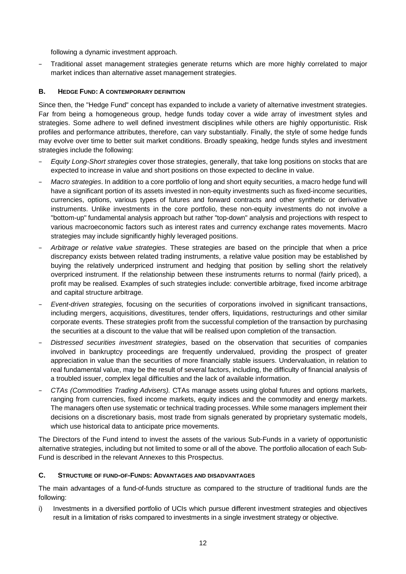following a dynamic investment approach.

– Traditional asset management strategies generate returns which are more highly correlated to major market indices than alternative asset management strategies.

# **B. HEDGE FUND: A CONTEMPORARY DEFINITION**

Since then, the "Hedge Fund" concept has expanded to include a variety of alternative investment strategies. Far from being a homogeneous group, hedge funds today cover a wide array of investment styles and strategies. Some adhere to well defined investment disciplines while others are highly opportunistic. Risk profiles and performance attributes, therefore, can vary substantially. Finally, the style of some hedge funds may evolve over time to better suit market conditions. Broadly speaking, hedge funds styles and investment strategies include the following:

- *Equity Long-Short strategies* cover those strategies, generally, that take long positions on stocks that are expected to increase in value and short positions on those expected to decline in value.
- *Macro strategies*. In addition to a core portfolio of long and short equity securities, a macro hedge fund will have a significant portion of its assets invested in non-equity investments such as fixed-income securities, currencies, options, various types of futures and forward contracts and other synthetic or derivative instruments. Unlike investments in the core portfolio, these non-equity investments do not involve a "bottom-up" fundamental analysis approach but rather "top-down" analysis and projections with respect to various macroeconomic factors such as interest rates and currency exchange rates movements. Macro strategies may include significantly highly leveraged positions.
- *Arbitrage or relative value strategies*. These strategies are based on the principle that when a price discrepancy exists between related trading instruments, a relative value position may be established by buying the relatively underpriced instrument and hedging that position by selling short the relatively overpriced instrument. If the relationship between these instruments returns to normal (fairly priced), a profit may be realised. Examples of such strategies include: convertible arbitrage, fixed income arbitrage and capital structure arbitrage.
- *Event-driven strategies,* focusing on the securities of corporations involved in significant transactions, including mergers, acquisitions, divestitures, tender offers, liquidations, restructurings and other similar corporate events. These strategies profit from the successful completion of the transaction by purchasing the securities at a discount to the value that will be realised upon completion of the transaction.
- *Distressed securities investment strategies*, based on the observation that securities of companies involved in bankruptcy proceedings are frequently undervalued, providing the prospect of greater appreciation in value than the securities of more financially stable issuers. Undervaluation, in relation to real fundamental value, may be the result of several factors, including, the difficulty of financial analysis of a troubled issuer, complex legal difficulties and the lack of available information.
- *CTAs (Commodities Trading Advisers).* CTAs manage assets using global futures and options markets, ranging from currencies, fixed income markets, equity indices and the commodity and energy markets. The managers often use systematic or technical trading processes. While some managers implement their decisions on a discretionary basis, most trade from signals generated by proprietary systematic models, which use historical data to anticipate price movements.

The Directors of the Fund intend to invest the assets of the various Sub-Funds in a variety of opportunistic alternative strategies, including but not limited to some or all of the above. The portfolio allocation of each Sub-Fund is described in the relevant Annexes to this Prospectus.

#### **C. STRUCTURE OF FUND-OF-FUNDS: ADVANTAGES AND DISADVANTAGES**

The main advantages of a fund-of-funds structure as compared to the structure of traditional funds are the following:

i) Investments in a diversified portfolio of UCIs which pursue different investment strategies and objectives result in a limitation of risks compared to investments in a single investment strategy or objective.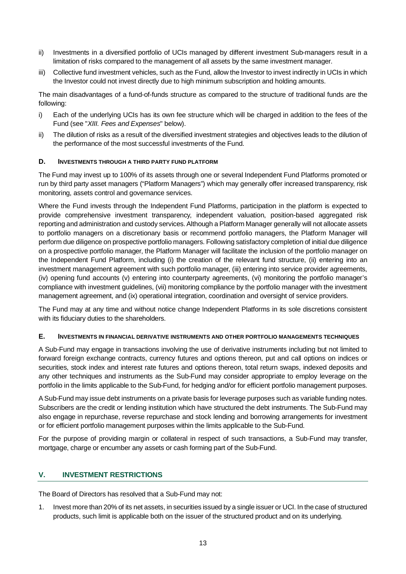- ii) Investments in a diversified portfolio of UCIs managed by different investment Sub-managers result in a limitation of risks compared to the management of all assets by the same investment manager.
- iii) Collective fund investment vehicles, such as the Fund, allow the Investor to invest indirectly in UCIs in which the Investor could not invest directly due to high minimum subscription and holding amounts.

The main disadvantages of a fund-of-funds structure as compared to the structure of traditional funds are the following:

- i) Each of the underlying UCIs has its own fee structure which will be charged in addition to the fees of the Fund (see "*XIII. Fees and Expenses*" below).
- ii) The dilution of risks as a result of the diversified investment strategies and objectives leads to the dilution of the performance of the most successful investments of the Fund.

#### **D. INVESTMENTS THROUGH A THIRD PARTY FUND PLATFORM**

The Fund may invest up to 100% of its assets through one or several Independent Fund Platforms promoted or run by third party asset managers ("Platform Managers") which may generally offer increased transparency, risk monitoring, assets control and governance services.

Where the Fund invests through the Independent Fund Platforms, participation in the platform is expected to provide comprehensive investment transparency, independent valuation, position-based aggregated risk reporting and administration and custody services. Although a Platform Manager generally will not allocate assets to portfolio managers on a discretionary basis or recommend portfolio managers, the Platform Manager will perform due diligence on prospective portfolio managers. Following satisfactory completion of initial due diligence on a prospective portfolio manager, the Platform Manager will facilitate the inclusion of the portfolio manager on the Independent Fund Platform, including (i) the creation of the relevant fund structure, (ii) entering into an investment management agreement with such portfolio manager, (iii) entering into service provider agreements, (iv) opening fund accounts (v) entering into counterparty agreements, (vi) monitoring the portfolio manager's compliance with investment guidelines, (vii) monitoring compliance by the portfolio manager with the investment management agreement, and (ix) operational integration, coordination and oversight of service providers.

The Fund may at any time and without notice change Independent Platforms in its sole discretions consistent with its fiduciary duties to the shareholders.

#### **E. INVESTMENTS IN FINANCIAL DERIVATIVE INSTRUMENTS AND OTHER PORTFOLIO MANAGEMENTS TECHNIQUES**

A Sub-Fund may engage in transactions involving the use of derivative instruments including but not limited to forward foreign exchange contracts, currency futures and options thereon, put and call options on indices or securities, stock index and interest rate futures and options thereon, total return swaps, indexed deposits and any other techniques and instruments as the Sub-Fund may consider appropriate to employ leverage on the portfolio in the limits applicable to the Sub-Fund, for hedging and/or for efficient portfolio management purposes.

A Sub-Fund may issue debt instruments on a private basis for leverage purposes such as variable funding notes. Subscribers are the credit or lending institution which have structured the debt instruments. The Sub-Fund may also engage in repurchase, reverse repurchase and stock lending and borrowing arrangements for investment or for efficient portfolio management purposes within the limits applicable to the Sub-Fund.

For the purpose of providing margin or collateral in respect of such transactions, a Sub-Fund may transfer, mortgage, charge or encumber any assets or cash forming part of the Sub-Fund.

# **V. INVESTMENT RESTRICTIONS**

The Board of Directors has resolved that a Sub-Fund may not:

1. Invest more than 20% of its net assets, in securities issued by a single issuer or UCI. In the case of structured products, such limit is applicable both on the issuer of the structured product and on its underlying.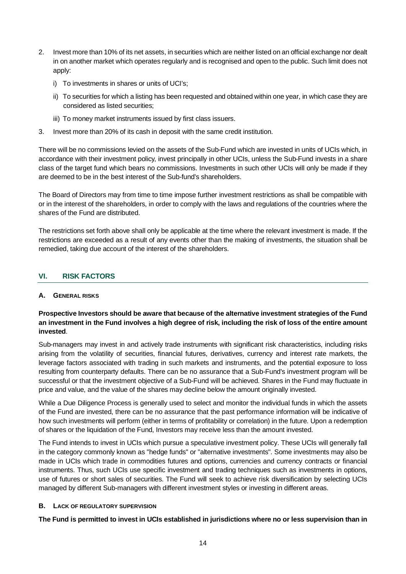- 2. Invest more than 10% of its net assets, in securities which are neither listed on an official exchange nor dealt in on another market which operates regularly and is recognised and open to the public. Such limit does not apply:
	- i) To investments in shares or units of UCI's;
	- ii) To securities for which a listing has been requested and obtained within one year, in which case they are considered as listed securities;
	- iii) To money market instruments issued by first class issuers.
- 3. Invest more than 20% of its cash in deposit with the same credit institution.

There will be no commissions levied on the assets of the Sub-Fund which are invested in units of UCIs which, in accordance with their investment policy, invest principally in other UCIs, unless the Sub-Fund invests in a share class of the target fund which bears no commissions. Investments in such other UCIs will only be made if they are deemed to be in the best interest of the Sub-fund's shareholders.

The Board of Directors may from time to time impose further investment restrictions as shall be compatible with or in the interest of the shareholders, in order to comply with the laws and regulations of the countries where the shares of the Fund are distributed.

The restrictions set forth above shall only be applicable at the time where the relevant investment is made. If the restrictions are exceeded as a result of any events other than the making of investments, the situation shall be remedied, taking due account of the interest of the shareholders.

# **VI. RISK FACTORS**

#### **A. GENERAL RISKS**

#### **Prospective Investors should be aware that because of the alternative investment strategies of the Fund an investment in the Fund involves a high degree of risk, including the risk of loss of the entire amount invested**.

Sub-managers may invest in and actively trade instruments with significant risk characteristics, including risks arising from the volatility of securities, financial futures, derivatives, currency and interest rate markets, the leverage factors associated with trading in such markets and instruments, and the potential exposure to loss resulting from counterparty defaults. There can be no assurance that a Sub-Fund's investment program will be successful or that the investment objective of a Sub-Fund will be achieved. Shares in the Fund may fluctuate in price and value, and the value of the shares may decline below the amount originally invested.

While a Due Diligence Process is generally used to select and monitor the individual funds in which the assets of the Fund are invested, there can be no assurance that the past performance information will be indicative of how such investments will perform (either in terms of profitability or correlation) in the future. Upon a redemption of shares or the liquidation of the Fund, Investors may receive less than the amount invested.

The Fund intends to invest in UCIs which pursue a speculative investment policy. These UCIs will generally fall in the category commonly known as "hedge funds" or "alternative investments". Some investments may also be made in UCIs which trade in commodities futures and options, currencies and currency contracts or financial instruments. Thus, such UCIs use specific investment and trading techniques such as investments in options, use of futures or short sales of securities. The Fund will seek to achieve risk diversification by selecting UCIs managed by different Sub-managers with different investment styles or investing in different areas.

#### **B. LACK OF REGULATORY SUPERVISION**

**The Fund is permitted to invest in UCIs established in jurisdictions where no or less supervision than in**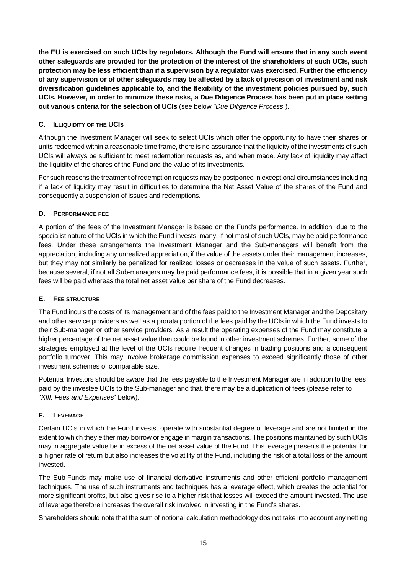**the EU is exercised on such UCIs by regulators. Although the Fund will ensure that in any such event other safeguards are provided for the protection of the interest of the shareholders of such UCIs, such protection may be less efficient than if a supervision by a regulator was exercised. Further the efficiency of any supervision or of other safeguards may be affected by a lack of precision of investment and risk diversification guidelines applicable to, and the flexibility of the investment policies pursued by, such UCIs. However, in order to minimize these risks, a Due Diligence Process has been put in place setting out various criteria for the selection of UCIs** (see below *"Due Diligence Process"*)**.**

# **C. ILLIQUIDITY OF THE UCIS**

Although the Investment Manager will seek to select UCIs which offer the opportunity to have their shares or units redeemed within a reasonable time frame, there is no assurance that the liquidity of the investments of such UCIs will always be sufficient to meet redemption requests as, and when made. Any lack of liquidity may affect the liquidity of the shares of the Fund and the value of its investments.

For such reasons the treatment of redemption requests may be postponed in exceptional circumstances including if a lack of liquidity may result in difficulties to determine the Net Asset Value of the shares of the Fund and consequently a suspension of issues and redemptions.

#### **D. PERFORMANCE FEE**

A portion of the fees of the Investment Manager is based on the Fund's performance. In addition, due to the specialist nature of the UCIs in which the Fund invests, many, if not most of such UCIs, may be paid performance fees. Under these arrangements the Investment Manager and the Sub-managers will benefit from the appreciation, including any unrealized appreciation, if the value of the assets under their management increases, but they may not similarly be penalized for realized losses or decreases in the value of such assets. Further, because several, if not all Sub-managers may be paid performance fees, it is possible that in a given year such fees will be paid whereas the total net asset value per share of the Fund decreases.

#### **E. FEE STRUCTURE**

The Fund incurs the costs of its management and of the fees paid to the Investment Manager and the Depositary and other service providers as well as a prorata portion of the fees paid by the UCIs in which the Fund invests to their Sub-manager or other service providers. As a result the operating expenses of the Fund may constitute a higher percentage of the net asset value than could be found in other investment schemes. Further, some of the strategies employed at the level of the UCIs require frequent changes in trading positions and a consequent portfolio turnover. This may involve brokerage commission expenses to exceed significantly those of other investment schemes of comparable size.

Potential Investors should be aware that the fees payable to the Investment Manager are in addition to the fees paid by the investee UCIs to the Sub-manager and that, there may be a duplication of fees (please refer to "*XIII. Fees and Expenses*" below).

# **F. LEVERAGE**

Certain UCIs in which the Fund invests, operate with substantial degree of leverage and are not limited in the extent to which they either may borrow or engage in margin transactions. The positions maintained by such UCIs may in aggregate value be in excess of the net asset value of the Fund. This leverage presents the potential for a higher rate of return but also increases the volatility of the Fund, including the risk of a total loss of the amount invested.

The Sub-Funds may make use of financial derivative instruments and other efficient portfolio management techniques. The use of such instruments and techniques has a leverage effect, which creates the potential for more significant profits, but also gives rise to a higher risk that losses will exceed the amount invested. The use of leverage therefore increases the overall risk involved in investing in the Fund's shares.

Shareholders should note that the sum of notional calculation methodology dos not take into account any netting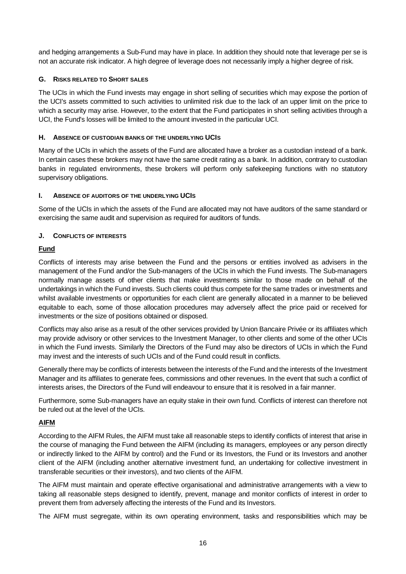and hedging arrangements a Sub-Fund may have in place. In addition they should note that leverage per se is not an accurate risk indicator. A high degree of leverage does not necessarily imply a higher degree of risk.

#### **G. RISKS RELATED TO SHORT SALES**

The UCIs in which the Fund invests may engage in short selling of securities which may expose the portion of the UCI's assets committed to such activities to unlimited risk due to the lack of an upper limit on the price to which a security may arise. However, to the extent that the Fund participates in short selling activities through a UCI, the Fund's losses will be limited to the amount invested in the particular UCI.

#### **H. ABSENCE OF CUSTODIAN BANKS OF THE UNDERLYING UCIS**

Many of the UCIs in which the assets of the Fund are allocated have a broker as a custodian instead of a bank. In certain cases these brokers may not have the same credit rating as a bank. In addition, contrary to custodian banks in regulated environments, these brokers will perform only safekeeping functions with no statutory supervisory obligations.

#### **I. ABSENCE OF AUDITORS OF THE UNDERLYING UCIS**

Some of the UCIs in which the assets of the Fund are allocated may not have auditors of the same standard or exercising the same audit and supervision as required for auditors of funds.

#### **J. CONFLICTS OF INTERESTS**

# **Fund**

Conflicts of interests may arise between the Fund and the persons or entities involved as advisers in the management of the Fund and/or the Sub-managers of the UCIs in which the Fund invests. The Sub-managers normally manage assets of other clients that make investments similar to those made on behalf of the undertakings in which the Fund invests. Such clients could thus compete for the same trades or investments and whilst available investments or opportunities for each client are generally allocated in a manner to be believed equitable to each, some of those allocation procedures may adversely affect the price paid or received for investments or the size of positions obtained or disposed.

Conflicts may also arise as a result of the other services provided by Union Bancaire Privée or its affiliates which may provide advisory or other services to the Investment Manager, to other clients and some of the other UCIs in which the Fund invests. Similarly the Directors of the Fund may also be directors of UCIs in which the Fund may invest and the interests of such UCIs and of the Fund could result in conflicts.

Generally there may be conflicts of interests between the interests of the Fund and the interests of the Investment Manager and its affiliates to generate fees, commissions and other revenues. In the event that such a conflict of interests arises, the Directors of the Fund will endeavour to ensure that it is resolved in a fair manner.

Furthermore, some Sub-managers have an equity stake in their own fund. Conflicts of interest can therefore not be ruled out at the level of the UCIs.

# **AIFM**

According to the AIFM Rules, the AIFM must take all reasonable steps to identify conflicts of interest that arise in the course of managing the Fund between the AIFM (including its managers, employees or any person directly or indirectly linked to the AIFM by control) and the Fund or its Investors, the Fund or its Investors and another client of the AIFM (including another alternative investment fund, an undertaking for collective investment in transferable securities or their investors), and two clients of the AIFM.

The AIFM must maintain and operate effective organisational and administrative arrangements with a view to taking all reasonable steps designed to identify, prevent, manage and monitor conflicts of interest in order to prevent them from adversely affecting the interests of the Fund and its Investors.

The AIFM must segregate, within its own operating environment, tasks and responsibilities which may be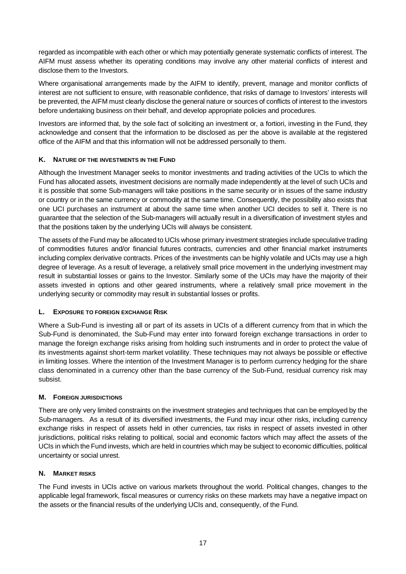regarded as incompatible with each other or which may potentially generate systematic conflicts of interest. The AIFM must assess whether its operating conditions may involve any other material conflicts of interest and disclose them to the Investors.

Where organisational arrangements made by the AIFM to identify, prevent, manage and monitor conflicts of interest are not sufficient to ensure, with reasonable confidence, that risks of damage to Investors' interests will be prevented, the AIFM must clearly disclose the general nature or sources of conflicts of interest to the investors before undertaking business on their behalf, and develop appropriate policies and procedures.

Investors are informed that, by the sole fact of soliciting an investment or, a fortiori, investing in the Fund, they acknowledge and consent that the information to be disclosed as per the above is available at the registered office of the AIFM and that this information will not be addressed personally to them.

# **K. NATURE OF THE INVESTMENTS IN THE FUND**

Although the Investment Manager seeks to monitor investments and trading activities of the UCIs to which the Fund has allocated assets, investment decisions are normally made independently at the level of such UCIs and it is possible that some Sub-managers will take positions in the same security or in issues of the same industry or country or in the same currency or commodity at the same time. Consequently, the possibility also exists that one UCI purchases an instrument at about the same time when another UCI decides to sell it. There is no guarantee that the selection of the Sub-managers will actually result in a diversification of investment styles and that the positions taken by the underlying UCIs will always be consistent.

The assets of the Fund may be allocated to UCIs whose primary investment strategies include speculative trading of commodities futures and/or financial futures contracts, currencies and other financial market instruments including complex derivative contracts. Prices of the investments can be highly volatile and UCIs may use a high degree of leverage. As a result of leverage, a relatively small price movement in the underlying investment may result in substantial losses or gains to the Investor. Similarly some of the UCIs may have the majority of their assets invested in options and other geared instruments, where a relatively small price movement in the underlying security or commodity may result in substantial losses or profits.

#### **L. EXPOSURE TO FOREIGN EXCHANGE RISK**

Where a Sub-Fund is investing all or part of its assets in UCIs of a different currency from that in which the Sub-Fund is denominated, the Sub-Fund may enter into forward foreign exchange transactions in order to manage the foreign exchange risks arising from holding such instruments and in order to protect the value of its investments against short-term market volatility. These techniques may not always be possible or effective in limiting losses. Where the intention of the Investment Manager is to perform currency hedging for the share class denominated in a currency other than the base currency of the Sub-Fund, residual currency risk may subsist.

# **M. FOREIGN JURISDICTIONS**

There are only very limited constraints on the investment strategies and techniques that can be employed by the Sub-managers. As a result of its diversified investments, the Fund may incur other risks, including currency exchange risks in respect of assets held in other currencies, tax risks in respect of assets invested in other jurisdictions, political risks relating to political, social and economic factors which may affect the assets of the UCIs in which the Fund invests, which are held in countries which may be subject to economic difficulties, political uncertainty or social unrest.

#### **N. MARKET RISKS**

The Fund invests in UCIs active on various markets throughout the world. Political changes, changes to the applicable legal framework, fiscal measures or currency risks on these markets may have a negative impact on the assets or the financial results of the underlying UCIs and, consequently, of the Fund.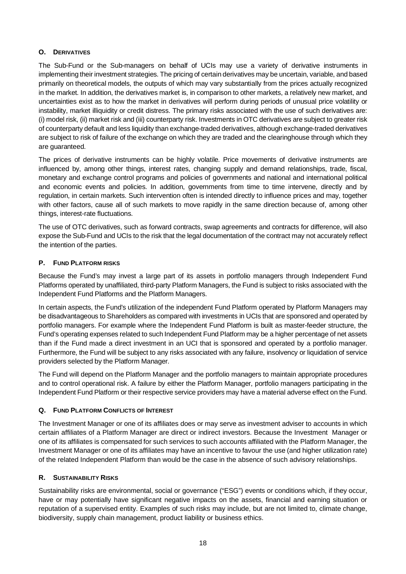# **O. DERIVATIVES**

The Sub-Fund or the Sub-managers on behalf of UCIs may use a variety of derivative instruments in implementing their investment strategies. The pricing of certain derivatives may be uncertain, variable, and based primarily on theoretical models, the outputs of which may vary substantially from the prices actually recognized in the market. In addition, the derivatives market is, in comparison to other markets, a relatively new market, and uncertainties exist as to how the market in derivatives will perform during periods of unusual price volatility or instability, market illiquidity or credit distress. The primary risks associated with the use of such derivatives are: (i) model risk, (ii) market risk and (iii) counterparty risk. Investments in OTC derivatives are subject to greater risk of counterparty default and less liquidity than exchange-traded derivatives, although exchange-traded derivatives are subject to risk of failure of the exchange on which they are traded and the clearinghouse through which they are guaranteed.

The prices of derivative instruments can be highly volatile. Price movements of derivative instruments are influenced by, among other things, interest rates, changing supply and demand relationships, trade, fiscal, monetary and exchange control programs and policies of governments and national and international political and economic events and policies. In addition, governments from time to time intervene, directly and by regulation, in certain markets. Such intervention often is intended directly to influence prices and may, together with other factors, cause all of such markets to move rapidly in the same direction because of, among other things, interest-rate fluctuations.

The use of OTC derivatives, such as forward contracts, swap agreements and contracts for difference, will also expose the Sub-Fund and UCIs to the risk that the legal documentation of the contract may not accurately reflect the intention of the parties.

#### **P. FUND PLATFORM RISKS**

Because the Fund's may invest a large part of its assets in portfolio managers through Independent Fund Platforms operated by unaffiliated, third-party Platform Managers, the Fund is subject to risks associated with the Independent Fund Platforms and the Platform Managers.

In certain aspects, the Fund's utilization of the independent Fund Platform operated by Platform Managers may be disadvantageous to Shareholders as compared with investments in UCIs that are sponsored and operated by portfolio managers. For example where the Independent Fund Platform is built as master-feeder structure, the Fund's operating expenses related to such Independent Fund Platform may be a higher percentage of net assets than if the Fund made a direct investment in an UCI that is sponsored and operated by a portfolio manager. Furthermore, the Fund will be subject to any risks associated with any failure, insolvency or liquidation of service providers selected by the Platform Manager.

The Fund will depend on the Platform Manager and the portfolio managers to maintain appropriate procedures and to control operational risk. A failure by either the Platform Manager, portfolio managers participating in the Independent Fund Platform or their respective service providers may have a material adverse effect on the Fund.

#### **Q. FUND PLATFORM CONFLICTS OF INTEREST**

The Investment Manager or one of its affiliates does or may serve as investment adviser to accounts in which certain affiliates of a Platform Manager are direct or indirect investors. Because the Investment Manager or one of its affiliates is compensated for such services to such accounts affiliated with the Platform Manager, the Investment Manager or one of its affiliates may have an incentive to favour the use (and higher utilization rate) of the related Independent Platform than would be the case in the absence of such advisory relationships.

#### **R. SUSTAINABILITY RISKS**

Sustainability risks are environmental, social or governance ("ESG") events or conditions which, if they occur, have or may potentially have significant negative impacts on the assets, financial and earning situation or reputation of a supervised entity. Examples of such risks may include, but are not limited to, climate change, biodiversity, supply chain management, product liability or business ethics.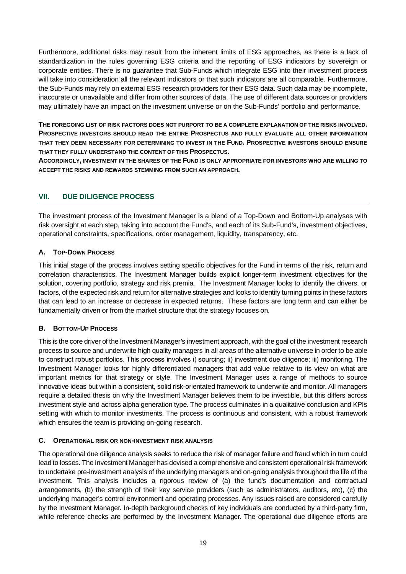Furthermore, additional risks may result from the inherent limits of ESG approaches, as there is a lack of standardization in the rules governing ESG criteria and the reporting of ESG indicators by sovereign or corporate entities. There is no guarantee that Sub-Funds which integrate ESG into their investment process will take into consideration all the relevant indicators or that such indicators are all comparable. Furthermore, the Sub-Funds may rely on external ESG research providers for their ESG data. Such data may be incomplete, inaccurate or unavailable and differ from other sources of data. The use of different data sources or providers may ultimately have an impact on the investment universe or on the Sub-Funds' portfolio and performance.

**THE FOREGOING LIST OF RISK FACTORS DOES NOT PURPORT TO BE A COMPLETE EXPLANATION OF THE RISKS INVOLVED. PROSPECTIVE INVESTORS SHOULD READ THE ENTIRE PROSPECTUS AND FULLY EVALUATE ALL OTHER INFORMATION THAT THEY DEEM NECESSARY FOR DETERMINING TO INVEST IN THE FUND. PROSPECTIVE INVESTORS SHOULD ENSURE THAT THEY FULLY UNDERSTAND THE CONTENT OF THIS PROSPECTUS.**

**ACCORDINGLY, INVESTMENT IN THE SHARES OF THE FUND IS ONLY APPROPRIATE FOR INVESTORS WHO ARE WILLING TO ACCEPT THE RISKS AND REWARDS STEMMING FROM SUCH AN APPROACH.**

# **VII. DUE DILIGENCE PROCESS**

The investment process of the Investment Manager is a blend of a Top-Down and Bottom-Up analyses with risk oversight at each step, taking into account the Fund's, and each of its Sub-Fund's, investment objectives, operational constraints, specifications, order management, liquidity, transparency, etc.

# **A. TOP-DOWN PROCESS**

This initial stage of the process involves setting specific objectives for the Fund in terms of the risk, return and correlation characteristics. The Investment Manager builds explicit longer-term investment objectives for the solution, covering portfolio, strategy and risk premia. The Investment Manager looks to identify the drivers, or factors, of the expected risk and return for alternative strategies and looks to identify turning points in these factors that can lead to an increase or decrease in expected returns. These factors are long term and can either be fundamentally driven or from the market structure that the strategy focuses on.

# **B. BOTTOM-UP PROCESS**

This is the core driver of the Investment Manager's investment approach, with the goal of the investment research process to source and underwrite high quality managers in all areas of the alternative universe in order to be able to construct robust portfolios. This process involves i) sourcing; ii) investment due diligence; iii) monitoring. The Investment Manager looks for highly differentiated managers that add value relative to its view on what are important metrics for that strategy or style. The Investment Manager uses a range of methods to source innovative ideas but within a consistent, solid risk-orientated framework to underwrite and monitor. All managers require a detailed thesis on why the Investment Manager believes them to be investible, but this differs across investment style and across alpha generation type. The process culminates in a qualitative conclusion and KPIs setting with which to monitor investments. The process is continuous and consistent, with a robust framework which ensures the team is providing on-going research.

#### **C. OPERATIONAL RISK OR NON-INVESTMENT RISK ANALYSIS**

The operational due diligence analysis seeks to reduce the risk of manager failure and fraud which in turn could lead to losses. The Investment Manager has devised a comprehensive and consistent operational risk framework to undertake pre-investment analysis of the underlying managers and on-going analysis throughout the life of the investment. This analysis includes a rigorous review of (a) the fund's documentation and contractual arrangements, (b) the strength of their key service providers (such as administrators, auditors, etc), (c) the underlying manager's control environment and operating processes. Any issues raised are considered carefully by the Investment Manager. In-depth background checks of key individuals are conducted by a third-party firm, while reference checks are performed by the Investment Manager. The operational due diligence efforts are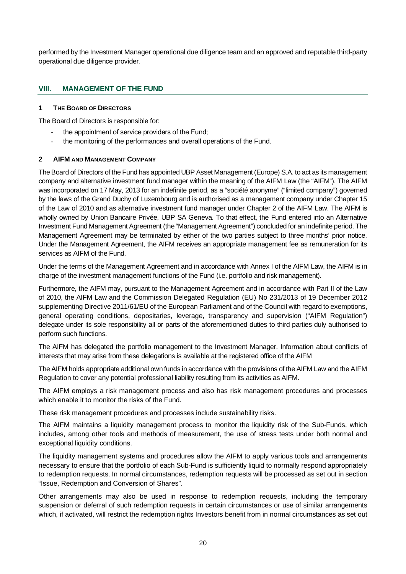performed by the Investment Manager operational due diligence team and an approved and reputable third-party operational due diligence provider.

#### **VIII. MANAGEMENT OF THE FUND**

#### **1 THE BOARD OF DIRECTORS**

The Board of Directors is responsible for:

- the appointment of service providers of the Fund:
- the monitoring of the performances and overall operations of the Fund.

#### **2 AIFM AND MANAGEMENT COMPANY**

The Board of Directors of the Fund has appointed UBP Asset Management (Europe) S.A. to act as its management company and alternative investment fund manager within the meaning of the AIFM Law (the "AIFM"). The AIFM was incorporated on 17 May, 2013 for an indefinite period, as a "société anonyme" ("limited company") governed by the laws of the Grand Duchy of Luxembourg and is authorised as a management company under Chapter 15 of the Law of 2010 and as alternative investment fund manager under Chapter 2 of the AIFM Law. The AIFM is wholly owned by Union Bancaire Privée, UBP SA Geneva. To that effect, the Fund entered into an Alternative Investment Fund Management Agreement (the "Management Agreement") concluded for an indefinite period. The Management Agreement may be terminated by either of the two parties subject to three months' prior notice. Under the Management Agreement, the AIFM receives an appropriate management fee as remuneration for its services as AIFM of the Fund.

Under the terms of the Management Agreement and in accordance with Annex I of the AIFM Law, the AIFM is in charge of the investment management functions of the Fund (i.e. portfolio and risk management).

Furthermore, the AIFM may, pursuant to the Management Agreement and in accordance with Part II of the Law of 2010, the AIFM Law and the Commission Delegated Regulation (EU) No 231/2013 of 19 December 2012 supplementing Directive 2011/61/EU of the European Parliament and of the Council with regard to exemptions, general operating conditions, depositaries, leverage, transparency and supervision ("AIFM Regulation") delegate under its sole responsibility all or parts of the aforementioned duties to third parties duly authorised to perform such functions.

The AIFM has delegated the portfolio management to the Investment Manager. Information about conflicts of interests that may arise from these delegations is available at the registered office of the AIFM

The AIFM holds appropriate additional own funds in accordance with the provisions of the AIFM Law and the AIFM Regulation to cover any potential professional liability resulting from its activities as AIFM.

The AIFM employs a risk management process and also has risk management procedures and processes which enable it to monitor the risks of the Fund.

These risk management procedures and processes include sustainability risks.

The AIFM maintains a liquidity management process to monitor the liquidity risk of the Sub-Funds, which includes, among other tools and methods of measurement, the use of stress tests under both normal and exceptional liquidity conditions.

The liquidity management systems and procedures allow the AIFM to apply various tools and arrangements necessary to ensure that the portfolio of each Sub-Fund is sufficiently liquid to normally respond appropriately to redemption requests. In normal circumstances, redemption requests will be processed as set out in section "Issue, Redemption and Conversion of Shares".

Other arrangements may also be used in response to redemption requests, including the temporary suspension or deferral of such redemption requests in certain circumstances or use of similar arrangements which, if activated, will restrict the redemption rights Investors benefit from in normal circumstances as set out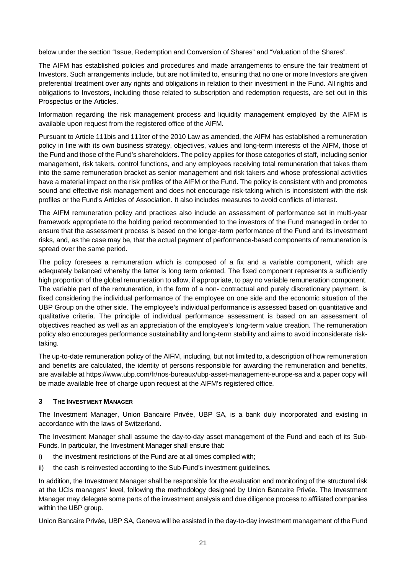below under the section "Issue, Redemption and Conversion of Shares" and "Valuation of the Shares".

The AIFM has established policies and procedures and made arrangements to ensure the fair treatment of Investors. Such arrangements include, but are not limited to, ensuring that no one or more Investors are given preferential treatment over any rights and obligations in relation to their investment in the Fund. All rights and obligations to Investors, including those related to subscription and redemption requests, are set out in this Prospectus or the Articles.

Information regarding the risk management process and liquidity management employed by the AIFM is available upon request from the registered office of the AIFM.

Pursuant to Article 111bis and 111ter of the 2010 Law as amended, the AIFM has established a remuneration policy in line with its own business strategy, objectives, values and long-term interests of the AIFM, those of the Fund and those of the Fund's shareholders. The policy applies for those categories of staff, including senior management, risk takers, control functions, and any employees receiving total remuneration that takes them into the same remuneration bracket as senior management and risk takers and whose professional activities have a material impact on the risk profiles of the AIFM or the Fund. The policy is consistent with and promotes sound and effective risk management and does not encourage risk-taking which is inconsistent with the risk profiles or the Fund's Articles of Association. It also includes measures to avoid conflicts of interest.

The AIFM remuneration policy and practices also include an assessment of performance set in multi-year framework appropriate to the holding period recommended to the investors of the Fund managed in order to ensure that the assessment process is based on the longer-term performance of the Fund and its investment risks, and, as the case may be, that the actual payment of performance-based components of remuneration is spread over the same period.

The policy foresees a remuneration which is composed of a fix and a variable component, which are adequately balanced whereby the latter is long term oriented. The fixed component represents a sufficiently high proportion of the global remuneration to allow, if appropriate, to pay no variable remuneration component. The variable part of the remuneration, in the form of a non- contractual and purely discretionary payment, is fixed considering the individual performance of the employee on one side and the economic situation of the UBP Group on the other side. The employee's individual performance is assessed based on quantitative and qualitative criteria. The principle of individual performance assessment is based on an assessment of objectives reached as well as an appreciation of the employee's long-term value creation. The remuneration policy also encourages performance sustainability and long-term stability and aims to avoid inconsiderate risktaking.

The up-to-date remuneration policy of the AIFM, including, but not limited to, a description of how remuneration and benefits are calculated, the identity of persons responsible for awarding the remuneration and benefits, are available at https://www.ubp.com/fr/nos-bureaux/ubp-asset-management-europe-sa and a paper copy will be made available free of charge upon request at the AIFM's registered office.

#### **3 THE INVESTMENT MANAGER**

The Investment Manager, Union Bancaire Privée, UBP SA, is a bank duly incorporated and existing in accordance with the laws of Switzerland.

The Investment Manager shall assume the day-to-day asset management of the Fund and each of its Sub-Funds. In particular, the Investment Manager shall ensure that:

- i) the investment restrictions of the Fund are at all times complied with;
- ii) the cash is reinvested according to the Sub-Fund's investment guidelines.

In addition, the Investment Manager shall be responsible for the evaluation and monitoring of the structural risk at the UCIs managers' level, following the methodology designed by Union Bancaire Privée. The Investment Manager may delegate some parts of the investment analysis and due diligence process to affiliated companies within the UBP group.

Union Bancaire Privée, UBP SA, Geneva will be assisted in the day-to-day investment management of the Fund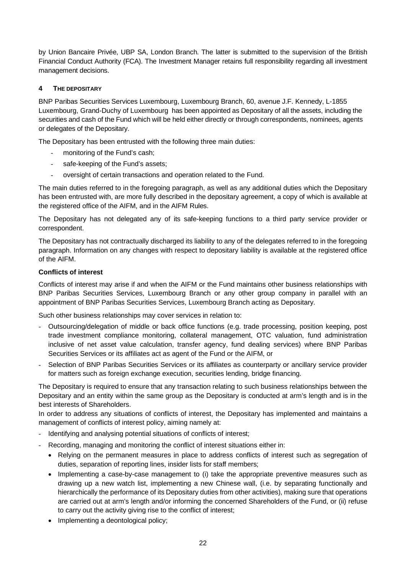by Union Bancaire Privée, UBP SA, London Branch. The latter is submitted to the supervision of the British Financial Conduct Authority (FCA). The Investment Manager retains full responsibility regarding all investment management decisions.

# **4 THE DEPOSITARY**

BNP Paribas Securities Services Luxembourg, Luxembourg Branch, 60, avenue J.F. Kennedy, L-1855 Luxembourg, Grand-Duchy of Luxembourg has been appointed as Depositary of all the assets, including the securities and cash of the Fund which will be held either directly or through correspondents, nominees, agents or delegates of the Depositary.

The Depositary has been entrusted with the following three main duties:

- monitoring of the Fund's cash;
- safe-keeping of the Fund's assets;
- oversight of certain transactions and operation related to the Fund.

The main duties referred to in the foregoing paragraph, as well as any additional duties which the Depositary has been entrusted with, are more fully described in the depositary agreement, a copy of which is available at the registered office of the AIFM, and in the AIFM Rules.

The Depositary has not delegated any of its safe-keeping functions to a third party service provider or correspondent.

The Depositary has not contractually discharged its liability to any of the delegates referred to in the foregoing paragraph. Information on any changes with respect to depositary liability is available at the registered office of the AIFM.

# **Conflicts of interest**

Conflicts of interest may arise if and when the AIFM or the Fund maintains other business relationships with BNP Paribas Securities Services, Luxembourg Branch or any other group company in parallel with an appointment of BNP Paribas Securities Services, Luxembourg Branch acting as Depositary.

Such other business relationships may cover services in relation to:

- Outsourcing/delegation of middle or back office functions (e.g. trade processing, position keeping, post trade investment compliance monitoring, collateral management, OTC valuation, fund administration inclusive of net asset value calculation, transfer agency, fund dealing services) where BNP Paribas Securities Services or its affiliates act as agent of the Fund or the AIFM, or
- Selection of BNP Paribas Securities Services or its affiliates as counterparty or ancillary service provider for matters such as foreign exchange execution, securities lending, bridge financing.

The Depositary is required to ensure that any transaction relating to such business relationships between the Depositary and an entity within the same group as the Depositary is conducted at arm's length and is in the best interests of Shareholders.

In order to address any situations of conflicts of interest, the Depositary has implemented and maintains a management of conflicts of interest policy, aiming namely at:

- Identifying and analysing potential situations of conflicts of interest;
- Recording, managing and monitoring the conflict of interest situations either in:
	- · Relying on the permanent measures in place to address conflicts of interest such as segregation of duties, separation of reporting lines, insider lists for staff members;
	- · Implementing a case-by-case management to (i) take the appropriate preventive measures such as drawing up a new watch list, implementing a new Chinese wall, (i.e. by separating functionally and hierarchically the performance of its Depositary duties from other activities), making sure that operations are carried out at arm's length and/or informing the concerned Shareholders of the Fund, or (ii) refuse to carry out the activity giving rise to the conflict of interest;
	- Implementing a deontological policy;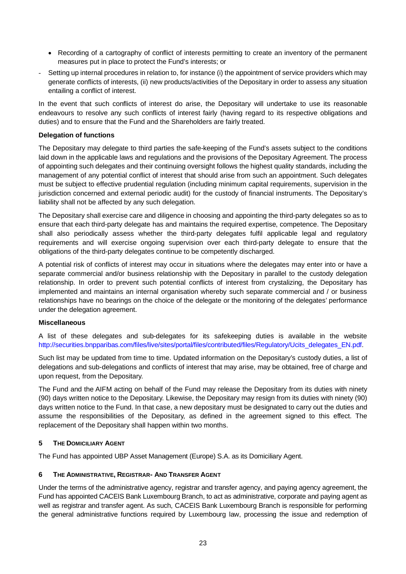- · Recording of a cartography of conflict of interests permitting to create an inventory of the permanent measures put in place to protect the Fund's interests; or
- Setting up internal procedures in relation to, for instance (i) the appointment of service providers which may generate conflicts of interests, (ii) new products/activities of the Depositary in order to assess any situation entailing a conflict of interest.

In the event that such conflicts of interest do arise, the Depositary will undertake to use its reasonable endeavours to resolve any such conflicts of interest fairly (having regard to its respective obligations and duties) and to ensure that the Fund and the Shareholders are fairly treated.

#### **Delegation of functions**

The Depositary may delegate to third parties the safe-keeping of the Fund's assets subject to the conditions laid down in the applicable laws and regulations and the provisions of the Depositary Agreement. The process of appointing such delegates and their continuing oversight follows the highest quality standards, including the management of any potential conflict of interest that should arise from such an appointment. Such delegates must be subject to effective prudential regulation (including minimum capital requirements, supervision in the jurisdiction concerned and external periodic audit) for the custody of financial instruments. The Depositary's liability shall not be affected by any such delegation.

The Depositary shall exercise care and diligence in choosing and appointing the third-party delegates so as to ensure that each third-party delegate has and maintains the required expertise, competence. The Depositary shall also periodically assess whether the third-party delegates fulfil applicable legal and regulatory requirements and will exercise ongoing supervision over each third-party delegate to ensure that the obligations of the third-party delegates continue to be competently discharged.

A potential risk of conflicts of interest may occur in situations where the delegates may enter into or have a separate commercial and/or business relationship with the Depositary in parallel to the custody delegation relationship. In order to prevent such potential conflicts of interest from crystalizing, the Depositary has implemented and maintains an internal organisation whereby such separate commercial and / or business relationships have no bearings on the choice of the delegate or the monitoring of the delegates' performance under the delegation agreement.

#### **Miscellaneous**

A list of these delegates and sub-delegates for its safekeeping duties is available in the website http://securities.bnpparibas.com/files/live/sites/portal/files/contributed/files/Regulatory/Ucits\_delegates\_EN.pdf.

Such list may be updated from time to time. Updated information on the Depositary's custody duties, a list of delegations and sub-delegations and conflicts of interest that may arise, may be obtained, free of charge and upon request, from the Depositary.

The Fund and the AIFM acting on behalf of the Fund may release the Depositary from its duties with ninety (90) days written notice to the Depositary. Likewise, the Depositary may resign from its duties with ninety (90) days written notice to the Fund. In that case, a new depositary must be designated to carry out the duties and assume the responsibilities of the Depositary, as defined in the agreement signed to this effect. The replacement of the Depositary shall happen within two months.

# **5 THE DOMICILIARY AGENT**

The Fund has appointed UBP Asset Management (Europe) S.A. as its Domiciliary Agent.

# **6 THE ADMINISTRATIVE, REGISTRAR- AND TRANSFER AGENT**

Under the terms of the administrative agency, registrar and transfer agency, and paying agency agreement, the Fund has appointed CACEIS Bank Luxembourg Branch, to act as administrative, corporate and paying agent as well as registrar and transfer agent. As such, CACEIS Bank Luxembourg Branch is responsible for performing the general administrative functions required by Luxembourg law, processing the issue and redemption of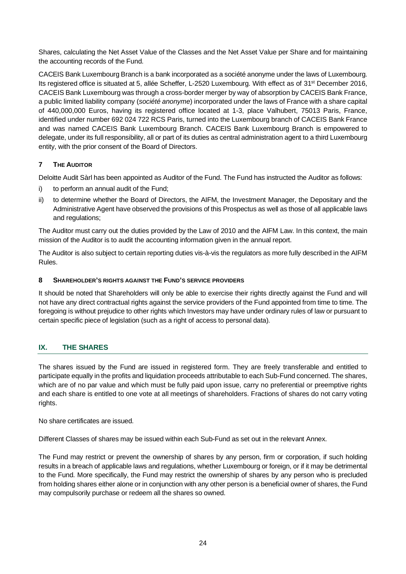Shares, calculating the Net Asset Value of the Classes and the Net Asset Value per Share and for maintaining the accounting records of the Fund.

CACEIS Bank Luxembourg Branch is a bank incorporated as a société anonyme under the laws of Luxembourg. Its registered office is situated at 5, allée Scheffer, L-2520 Luxembourg. With effect as of 31st December 2016, CACEIS Bank Luxembourg was through a cross-border merger by way of absorption by CACEIS Bank France, a public limited liability company (*société anonyme*) incorporated under the laws of France with a share capital of 440,000,000 Euros, having its registered office located at 1-3, place Valhubert, 75013 Paris, France, identified under number 692 024 722 RCS Paris, turned into the Luxembourg branch of CACEIS Bank France and was named CACEIS Bank Luxembourg Branch. CACEIS Bank Luxembourg Branch is empowered to delegate, under its full responsibility, all or part of its duties as central administration agent to a third Luxembourg entity, with the prior consent of the Board of Directors.

# **7 THE AUDITOR**

Deloitte Audit Sàrl has been appointed as Auditor of the Fund. The Fund has instructed the Auditor as follows:

- i) to perform an annual audit of the Fund;
- ii) to determine whether the Board of Directors, the AIFM, the Investment Manager, the Depositary and the Administrative Agent have observed the provisions of this Prospectus as well as those of all applicable laws and regulations;

The Auditor must carry out the duties provided by the Law of 2010 and the AIFM Law. In this context, the main mission of the Auditor is to audit the accounting information given in the annual report.

The Auditor is also subject to certain reporting duties vis-à-vis the regulators as more fully described in the AIFM Rules.

#### **8 SHAREHOLDER'S RIGHTS AGAINST THE FUND'S SERVICE PROVIDERS**

It should be noted that Shareholders will only be able to exercise their rights directly against the Fund and will not have any direct contractual rights against the service providers of the Fund appointed from time to time. The foregoing is without prejudice to other rights which Investors may have under ordinary rules of law or pursuant to certain specific piece of legislation (such as a right of access to personal data).

# **IX. THE SHARES**

The shares issued by the Fund are issued in registered form. They are freely transferable and entitled to participate equally in the profits and liquidation proceeds attributable to each Sub-Fund concerned. The shares, which are of no par value and which must be fully paid upon issue, carry no preferential or preemptive rights and each share is entitled to one vote at all meetings of shareholders. Fractions of shares do not carry voting rights.

No share certificates are issued.

Different Classes of shares may be issued within each Sub-Fund as set out in the relevant Annex.

The Fund may restrict or prevent the ownership of shares by any person, firm or corporation, if such holding results in a breach of applicable laws and regulations, whether Luxembourg or foreign, or if it may be detrimental to the Fund. More specifically, the Fund may restrict the ownership of shares by any person who is precluded from holding shares either alone or in conjunction with any other person is a beneficial owner of shares, the Fund may compulsorily purchase or redeem all the shares so owned.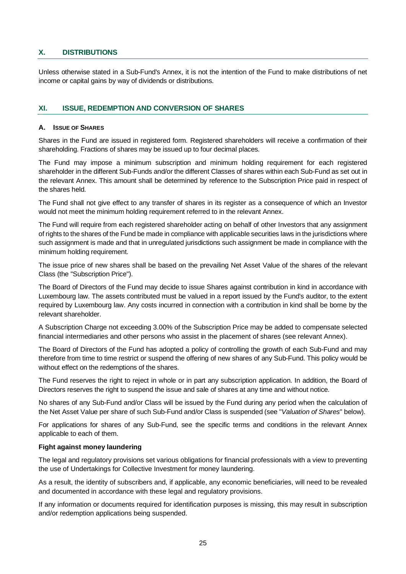#### **X. DISTRIBUTIONS**

Unless otherwise stated in a Sub-Fund's Annex, it is not the intention of the Fund to make distributions of net income or capital gains by way of dividends or distributions.

#### **XI. ISSUE, REDEMPTION AND CONVERSION OF SHARES**

#### **A. ISSUE OF SHARES**

Shares in the Fund are issued in registered form. Registered shareholders will receive a confirmation of their shareholding. Fractions of shares may be issued up to four decimal places.

The Fund may impose a minimum subscription and minimum holding requirement for each registered shareholder in the different Sub-Funds and/or the different Classes of shares within each Sub-Fund as set out in the relevant Annex. This amount shall be determined by reference to the Subscription Price paid in respect of the shares held.

The Fund shall not give effect to any transfer of shares in its register as a consequence of which an Investor would not meet the minimum holding requirement referred to in the relevant Annex.

The Fund will require from each registered shareholder acting on behalf of other Investors that any assignment of rights to the shares of the Fund be made in compliance with applicable securities laws in the jurisdictions where such assignment is made and that in unregulated jurisdictions such assignment be made in compliance with the minimum holding requirement.

The issue price of new shares shall be based on the prevailing Net Asset Value of the shares of the relevant Class (the "Subscription Price").

The Board of Directors of the Fund may decide to issue Shares against contribution in kind in accordance with Luxembourg law. The assets contributed must be valued in a report issued by the Fund's auditor, to the extent required by Luxembourg law. Any costs incurred in connection with a contribution in kind shall be borne by the relevant shareholder.

A Subscription Charge not exceeding 3.00% of the Subscription Price may be added to compensate selected financial intermediaries and other persons who assist in the placement of shares (see relevant Annex).

The Board of Directors of the Fund has adopted a policy of controlling the growth of each Sub-Fund and may therefore from time to time restrict or suspend the offering of new shares of any Sub-Fund. This policy would be without effect on the redemptions of the shares.

The Fund reserves the right to reject in whole or in part any subscription application. In addition, the Board of Directors reserves the right to suspend the issue and sale of shares at any time and without notice.

No shares of any Sub-Fund and/or Class will be issued by the Fund during any period when the calculation of the Net Asset Value per share of such Sub-Fund and/or Class is suspended (see "*Valuation of Shares*" below).

For applications for shares of any Sub-Fund, see the specific terms and conditions in the relevant Annex applicable to each of them.

#### **Fight against money laundering**

The legal and regulatory provisions set various obligations for financial professionals with a view to preventing the use of Undertakings for Collective Investment for money laundering.

As a result, the identity of subscribers and, if applicable, any economic beneficiaries, will need to be revealed and documented in accordance with these legal and regulatory provisions.

If any information or documents required for identification purposes is missing, this may result in subscription and/or redemption applications being suspended.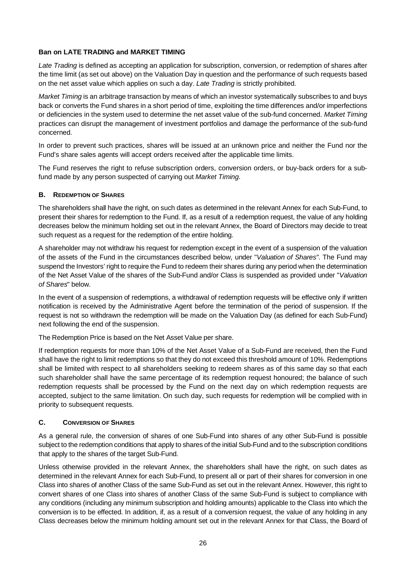#### **Ban on LATE TRADING and MARKET TIMING**

*Late Trading* is defined as accepting an application for subscription, conversion, or redemption of shares after the time limit (as set out above) on the Valuation Day in question and the performance of such requests based on the net asset value which applies on such a day. *Late Trading* is strictly prohibited.

*Market Timing* is an arbitrage transaction by means of which an investor systematically subscribes to and buys back or converts the Fund shares in a short period of time, exploiting the time differences and/or imperfections or deficiencies in the system used to determine the net asset value of the sub-fund concerned. *Market Timing* practices can disrupt the management of investment portfolios and damage the performance of the sub-fund concerned.

In order to prevent such practices, shares will be issued at an unknown price and neither the Fund nor the Fund's share sales agents will accept orders received after the applicable time limits.

The Fund reserves the right to refuse subscription orders, conversion orders, or buy-back orders for a subfund made by any person suspected of carrying out *Market Timing*.

#### **B. REDEMPTION OF SHARES**

The shareholders shall have the right, on such dates as determined in the relevant Annex for each Sub-Fund, to present their shares for redemption to the Fund. If, as a result of a redemption request, the value of any holding decreases below the minimum holding set out in the relevant Annex, the Board of Directors may decide to treat such request as a request for the redemption of the entire holding.

A shareholder may not withdraw his request for redemption except in the event of a suspension of the valuation of the assets of the Fund in the circumstances described below, under "*Valuation of Shares"*. The Fund may suspend the Investors' right to require the Fund to redeem their shares during any period when the determination of the Net Asset Value of the shares of the Sub-Fund and/or Class is suspended as provided under "*Valuation of Shares*" below.

In the event of a suspension of redemptions, a withdrawal of redemption requests will be effective only if written notification is received by the Administrative Agent before the termination of the period of suspension. If the request is not so withdrawn the redemption will be made on the Valuation Day (as defined for each Sub-Fund) next following the end of the suspension.

The Redemption Price is based on the Net Asset Value per share.

If redemption requests for more than 10% of the Net Asset Value of a Sub-Fund are received, then the Fund shall have the right to limit redemptions so that they do not exceed this threshold amount of 10%. Redemptions shall be limited with respect to all shareholders seeking to redeem shares as of this same day so that each such shareholder shall have the same percentage of its redemption request honoured; the balance of such redemption requests shall be processed by the Fund on the next day on which redemption requests are accepted, subject to the same limitation. On such day, such requests for redemption will be complied with in priority to subsequent requests.

# **C. CONVERSION OF SHARES**

As a general rule, the conversion of shares of one Sub-Fund into shares of any other Sub-Fund is possible subject to the redemption conditions that apply to shares of the initial Sub-Fund and to the subscription conditions that apply to the shares of the target Sub-Fund.

Unless otherwise provided in the relevant Annex, the shareholders shall have the right, on such dates as determined in the relevant Annex for each Sub-Fund, to present all or part of their shares for conversion in one Class into shares of another Class of the same Sub-Fund as set out in the relevant Annex. However, this right to convert shares of one Class into shares of another Class of the same Sub-Fund is subject to compliance with any conditions (including any minimum subscription and holding amounts) applicable to the Class into which the conversion is to be effected. In addition, if, as a result of a conversion request, the value of any holding in any Class decreases below the minimum holding amount set out in the relevant Annex for that Class, the Board of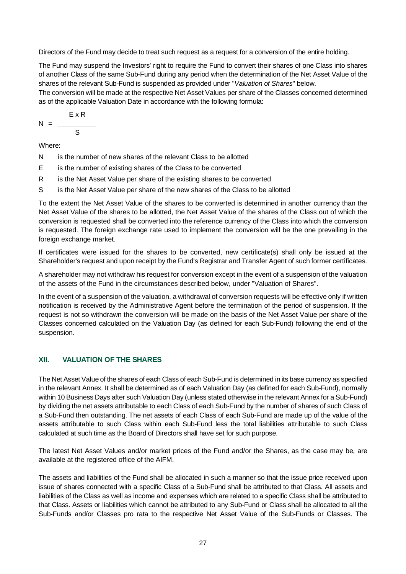Directors of the Fund may decide to treat such request as a request for a conversion of the entire holding.

The Fund may suspend the Investors' right to require the Fund to convert their shares of one Class into shares of another Class of the same Sub-Fund during any period when the determination of the Net Asset Value of the shares of the relevant Sub-Fund is suspended as provided under "*Valuation of Shares*" below.

The conversion will be made at the respective Net Asset Values per share of the Classes concerned determined as of the applicable Valuation Date in accordance with the following formula:

$$
N = \frac{ExR}{S}
$$

Where:

- N is the number of new shares of the relevant Class to be allotted
- E is the number of existing shares of the Class to be converted
- R is the Net Asset Value per share of the existing shares to be converted
- S is the Net Asset Value per share of the new shares of the Class to be allotted

To the extent the Net Asset Value of the shares to be converted is determined in another currency than the Net Asset Value of the shares to be allotted, the Net Asset Value of the shares of the Class out of which the conversion is requested shall be converted into the reference currency of the Class into which the conversion is requested. The foreign exchange rate used to implement the conversion will be the one prevailing in the foreign exchange market.

If certificates were issued for the shares to be converted, new certificate(s) shall only be issued at the Shareholder's request and upon receipt by the Fund's Registrar and Transfer Agent of such former certificates.

A shareholder may not withdraw his request for conversion except in the event of a suspension of the valuation of the assets of the Fund in the circumstances described below, under "Valuation of Shares".

In the event of a suspension of the valuation, a withdrawal of conversion requests will be effective only if written notification is received by the Administrative Agent before the termination of the period of suspension. If the request is not so withdrawn the conversion will be made on the basis of the Net Asset Value per share of the Classes concerned calculated on the Valuation Day (as defined for each Sub-Fund) following the end of the suspension.

# **XII. VALUATION OF THE SHARES**

The Net Asset Value of the shares of each Class of each Sub-Fund is determined in its base currency as specified in the relevant Annex. It shall be determined as of each Valuation Day (as defined for each Sub-Fund), normally within 10 Business Days after such Valuation Day (unless stated otherwise in the relevant Annex for a Sub-Fund) by dividing the net assets attributable to each Class of each Sub-Fund by the number of shares of such Class of a Sub-Fund then outstanding. The net assets of each Class of each Sub-Fund are made up of the value of the assets attributable to such Class within each Sub-Fund less the total liabilities attributable to such Class calculated at such time as the Board of Directors shall have set for such purpose.

The latest Net Asset Values and/or market prices of the Fund and/or the Shares, as the case may be, are available at the registered office of the AIFM.

The assets and liabilities of the Fund shall be allocated in such a manner so that the issue price received upon issue of shares connected with a specific Class of a Sub-Fund shall be attributed to that Class. All assets and liabilities of the Class as well as income and expenses which are related to a specific Class shall be attributed to that Class. Assets or liabilities which cannot be attributed to any Sub-Fund or Class shall be allocated to all the Sub-Funds and/or Classes pro rata to the respective Net Asset Value of the Sub-Funds or Classes. The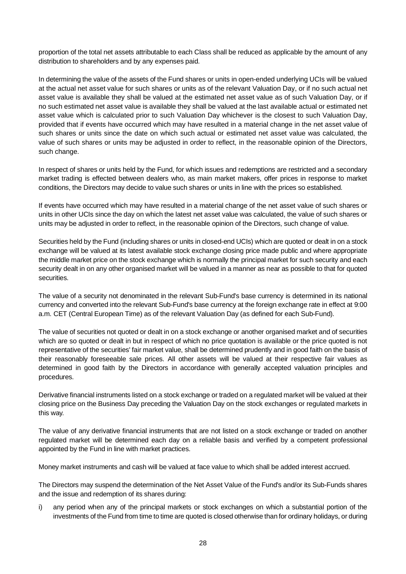proportion of the total net assets attributable to each Class shall be reduced as applicable by the amount of any distribution to shareholders and by any expenses paid.

In determining the value of the assets of the Fund shares or units in open-ended underlying UCIs will be valued at the actual net asset value for such shares or units as of the relevant Valuation Day, or if no such actual net asset value is available they shall be valued at the estimated net asset value as of such Valuation Day, or if no such estimated net asset value is available they shall be valued at the last available actual or estimated net asset value which is calculated prior to such Valuation Day whichever is the closest to such Valuation Day, provided that if events have occurred which may have resulted in a material change in the net asset value of such shares or units since the date on which such actual or estimated net asset value was calculated, the value of such shares or units may be adjusted in order to reflect, in the reasonable opinion of the Directors, such change.

In respect of shares or units held by the Fund, for which issues and redemptions are restricted and a secondary market trading is effected between dealers who, as main market makers, offer prices in response to market conditions, the Directors may decide to value such shares or units in line with the prices so established.

If events have occurred which may have resulted in a material change of the net asset value of such shares or units in other UCIs since the day on which the latest net asset value was calculated, the value of such shares or units may be adjusted in order to reflect, in the reasonable opinion of the Directors, such change of value.

Securities held by the Fund (including shares or units in closed-end UCIs) which are quoted or dealt in on a stock exchange will be valued at its latest available stock exchange closing price made public and where appropriate the middle market price on the stock exchange which is normally the principal market for such security and each security dealt in on any other organised market will be valued in a manner as near as possible to that for quoted securities.

The value of a security not denominated in the relevant Sub-Fund's base currency is determined in its national currency and converted into the relevant Sub-Fund's base currency at the foreign exchange rate in effect at 9:00 a.m. CET (Central European Time) as of the relevant Valuation Day (as defined for each Sub-Fund).

The value of securities not quoted or dealt in on a stock exchange or another organised market and of securities which are so quoted or dealt in but in respect of which no price quotation is available or the price quoted is not representative of the securities' fair market value, shall be determined prudently and in good faith on the basis of their reasonably foreseeable sale prices. All other assets will be valued at their respective fair values as determined in good faith by the Directors in accordance with generally accepted valuation principles and procedures.

Derivative financial instruments listed on a stock exchange or traded on a regulated market will be valued at their closing price on the Business Day preceding the Valuation Day on the stock exchanges or regulated markets in this way.

The value of any derivative financial instruments that are not listed on a stock exchange or traded on another regulated market will be determined each day on a reliable basis and verified by a competent professional appointed by the Fund in line with market practices.

Money market instruments and cash will be valued at face value to which shall be added interest accrued.

The Directors may suspend the determination of the Net Asset Value of the Fund's and/or its Sub-Funds shares and the issue and redemption of its shares during:

i) any period when any of the principal markets or stock exchanges on which a substantial portion of the investments of the Fund from time to time are quoted is closed otherwise than for ordinary holidays, or during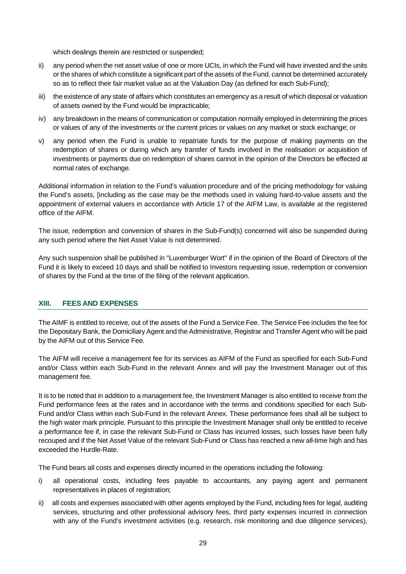which dealings therein are restricted or suspended;

- ii) any period when the net asset value of one or more UCIs, in which the Fund will have invested and the units or the shares of which constitute a significant part of the assets of the Fund, cannot be determined accurately so as to reflect their fair market value as at the Valuation Day (as defined for each Sub-Fund);
- iii) the existence of any state of affairs which constitutes an emergency as a result of which disposal or valuation of assets owned by the Fund would be impracticable;
- iv) any breakdown in the means of communication or computation normally employed in determining the prices or values of any of the investments or the current prices or values on any market or stock exchange; or
- v) any period when the Fund is unable to repatriate funds for the purpose of making payments on the redemption of shares or during which any transfer of funds involved in the realisation or acquisition of investments or payments due on redemption of shares cannot in the opinion of the Directors be effected at normal rates of exchange.

Additional information in relation to the Fund's valuation procedure and of the pricing methodology for valuing the Fund's assets, [including as the case may be the methods used in valuing hard-to-value assets and the appointment of external valuers in accordance with Article 17 of the AIFM Law, is available at the registered office of the AIFM.

The issue, redemption and conversion of shares in the Sub-Fund(s) concerned will also be suspended during any such period where the Net Asset Value is not determined.

Any such suspension shall be published in "Luxemburger Wort" if in the opinion of the Board of Directors of the Fund it is likely to exceed 10 days and shall be notified to Investors requesting issue, redemption or conversion of shares by the Fund at the time of the filing of the relevant application.

#### **XIII. FEES AND EXPENSES**

The AIMF is entitled to receive, out of the assets of the Fund a Service Fee. The Service Fee includes the fee for the Depositary Bank, the Domiciliary Agent and the Administrative, Registrar and Transfer Agent who will be paid by the AIFM out of this Service Fee.

The AIFM will receive a management fee for its services as AIFM of the Fund as specified for each Sub-Fund and/or Class within each Sub-Fund in the relevant Annex and will pay the Investment Manager out of this management fee.

It is to be noted that in addition to a management fee, the Investment Manager is also entitled to receive from the Fund performance fees at the rates and in accordance with the terms and conditions specified for each Sub-Fund and/or Class within each Sub-Fund in the relevant Annex. These performance fees shall all be subject to the high water mark principle. Pursuant to this principle the Investment Manager shall only be entitled to receive a performance fee if, in case the relevant Sub-Fund or Class has incurred losses, such losses have been fully recouped and if the Net Asset Value of the relevant Sub-Fund or Class has reached a new all-time high and has exceeded the Hurdle-Rate.

The Fund bears all costs and expenses directly incurred in the operations including the following:

- i) all operational costs, including fees payable to accountants, any paying agent and permanent representatives in places of registration:
- ii) all costs and expenses associated with other agents employed by the Fund, including fees for legal, auditing services, structuring and other professional advisory fees, third party expenses incurred in connection with any of the Fund's investment activities (e.g. research, risk monitoring and due diligence services),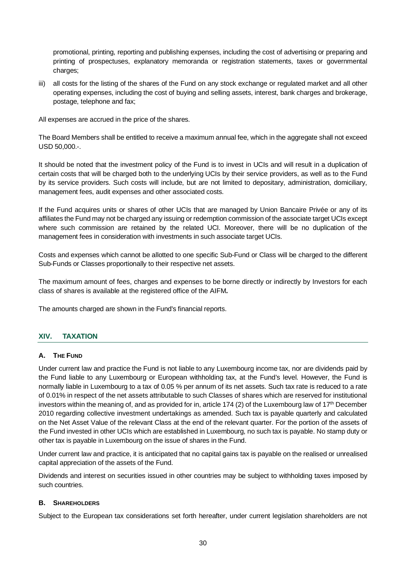promotional, printing, reporting and publishing expenses, including the cost of advertising or preparing and printing of prospectuses, explanatory memoranda or registration statements, taxes or governmental charges;

iii) all costs for the listing of the shares of the Fund on any stock exchange or regulated market and all other operating expenses, including the cost of buying and selling assets, interest, bank charges and brokerage, postage, telephone and fax;

All expenses are accrued in the price of the shares.

The Board Members shall be entitled to receive a maximum annual fee, which in the aggregate shall not exceed USD 50,000.-.

It should be noted that the investment policy of the Fund is to invest in UCIs and will result in a duplication of certain costs that will be charged both to the underlying UCIs by their service providers, as well as to the Fund by its service providers. Such costs will include, but are not limited to depositary, administration, domiciliary, management fees, audit expenses and other associated costs.

If the Fund acquires units or shares of other UCIs that are managed by Union Bancaire Privée or any of its affiliates the Fund may not be charged any issuing or redemption commission of the associate target UCIs except where such commission are retained by the related UCI. Moreover, there will be no duplication of the management fees in consideration with investments in such associate target UCIs.

Costs and expenses which cannot be allotted to one specific Sub-Fund or Class will be charged to the different Sub-Funds or Classes proportionally to their respective net assets.

The maximum amount of fees, charges and expenses to be borne directly or indirectly by Investors for each class of shares is available at the registered office of the AIFM*.*

The amounts charged are shown in the Fund's financial reports.

# **XIV. TAXATION**

#### **A. THE FUND**

Under current law and practice the Fund is not liable to any Luxembourg income tax, nor are dividends paid by the Fund liable to any Luxembourg or European withholding tax, at the Fund's level. However, the Fund is normally liable in Luxembourg to a tax of 0.05 % per annum of its net assets. Such tax rate is reduced to a rate of 0.01% in respect of the net assets attributable to such Classes of shares which are reserved for institutional investors within the meaning of, and as provided for in, article 174 (2) of the Luxembourg law of  $17<sup>th</sup>$  December 2010 regarding collective investment undertakings as amended. Such tax is payable quarterly and calculated on the Net Asset Value of the relevant Class at the end of the relevant quarter. For the portion of the assets of the Fund invested in other UCIs which are established in Luxembourg, no such tax is payable. No stamp duty or other tax is payable in Luxembourg on the issue of shares in the Fund.

Under current law and practice, it is anticipated that no capital gains tax is payable on the realised or unrealised capital appreciation of the assets of the Fund.

Dividends and interest on securities issued in other countries may be subject to withholding taxes imposed by such countries.

#### **B. SHAREHOLDERS**

Subject to the European tax considerations set forth hereafter, under current legislation shareholders are not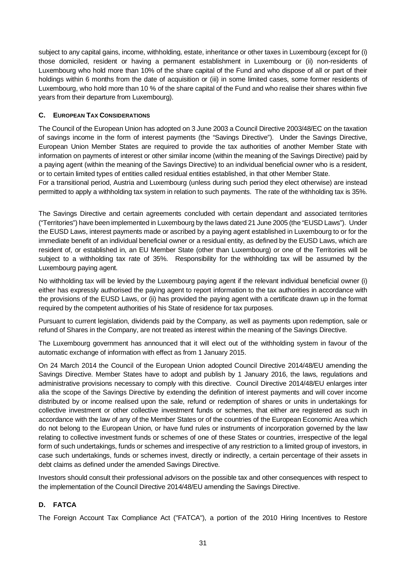subject to any capital gains, income, withholding, estate, inheritance or other taxes in Luxembourg (except for (i) those domiciled, resident or having a permanent establishment in Luxembourg or (ii) non-residents of Luxembourg who hold more than 10% of the share capital of the Fund and who dispose of all or part of their holdings within 6 months from the date of acquisition or (iii) in some limited cases, some former residents of Luxembourg, who hold more than 10 % of the share capital of the Fund and who realise their shares within five years from their departure from Luxembourg).

# **C. EUROPEAN TAX CONSIDERATIONS**

The Council of the European Union has adopted on 3 June 2003 a Council Directive 2003/48/EC on the taxation of savings income in the form of interest payments (the "Savings Directive"). Under the Savings Directive, European Union Member States are required to provide the tax authorities of another Member State with information on payments of interest or other similar income (within the meaning of the Savings Directive) paid by a paying agent (within the meaning of the Savings Directive) to an individual beneficial owner who is a resident, or to certain limited types of entities called residual entities established, in that other Member State.

For a transitional period, Austria and Luxembourg (unless during such period they elect otherwise) are instead permitted to apply a withholding tax system in relation to such payments. The rate of the withholding tax is 35%.

The Savings Directive and certain agreements concluded with certain dependant and associated territories ("Territories") have been implemented in Luxembourg by the laws dated 21 June 2005 (the "EUSD Laws"). Under the EUSD Laws, interest payments made or ascribed by a paying agent established in Luxembourg to or for the immediate benefit of an individual beneficial owner or a residual entity, as defined by the EUSD Laws, which are resident of, or established in, an EU Member State (other than Luxembourg) or one of the Territories will be subject to a withholding tax rate of 35%. Responsibility for the withholding tax will be assumed by the Luxembourg paying agent.

No withholding tax will be levied by the Luxembourg paying agent if the relevant individual beneficial owner (i) either has expressly authorised the paying agent to report information to the tax authorities in accordance with the provisions of the EUSD Laws, or (ii) has provided the paying agent with a certificate drawn up in the format required by the competent authorities of his State of residence for tax purposes.

Pursuant to current legislation, dividends paid by the Company, as well as payments upon redemption, sale or refund of Shares in the Company, are not treated as interest within the meaning of the Savings Directive.

The Luxembourg government has announced that it will elect out of the withholding system in favour of the automatic exchange of information with effect as from 1 January 2015.

On 24 March 2014 the Council of the European Union adopted Council Directive 2014/48/EU amending the Savings Directive. Member States have to adopt and publish by 1 January 2016, the laws, regulations and administrative provisions necessary to comply with this directive. Council Directive 2014/48/EU enlarges inter alia the scope of the Savings Directive by extending the definition of interest payments and will cover income distributed by or income realised upon the sale, refund or redemption of shares or units in undertakings for collective investment or other collective investment funds or schemes, that either are registered as such in accordance with the law of any of the Member States or of the countries of the European Economic Area which do not belong to the European Union, or have fund rules or instruments of incorporation governed by the law relating to collective investment funds or schemes of one of these States or countries, irrespective of the legal form of such undertakings, funds or schemes and irrespective of any restriction to a limited group of investors, in case such undertakings, funds or schemes invest, directly or indirectly, a certain percentage of their assets in debt claims as defined under the amended Savings Directive.

Investors should consult their professional advisors on the possible tax and other consequences with respect to the implementation of the Council Directive 2014/48/EU amending the Savings Directive.

# **D. FATCA**

The Foreign Account Tax Compliance Act ("FATCA"), a portion of the 2010 Hiring Incentives to Restore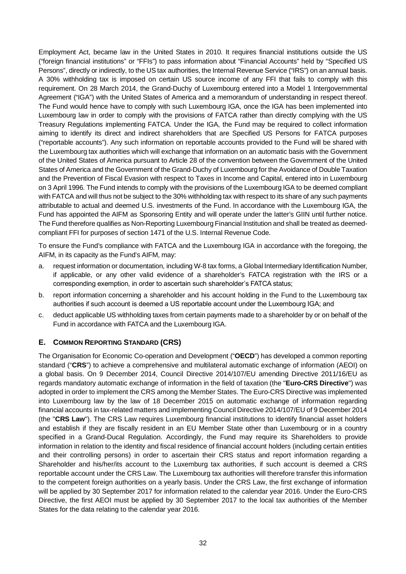Employment Act, became law in the United States in 2010. It requires financial institutions outside the US ("foreign financial institutions" or "FFIs") to pass information about "Financial Accounts" held by "Specified US Persons", directly or indirectly, to the US tax authorities, the Internal Revenue Service ("IRS") on an annual basis. A 30% withholding tax is imposed on certain US source income of any FFI that fails to comply with this requirement. On 28 March 2014, the Grand-Duchy of Luxembourg entered into a Model 1 Intergovernmental Agreement ("IGA") with the United States of America and a memorandum of understanding in respect thereof. The Fund would hence have to comply with such Luxembourg IGA, once the IGA has been implemented into Luxembourg law in order to comply with the provisions of FATCA rather than directly complying with the US Treasury Regulations implementing FATCA. Under the IGA, the Fund may be required to collect information aiming to identify its direct and indirect shareholders that are Specified US Persons for FATCA purposes ("reportable accounts"). Any such information on reportable accounts provided to the Fund will be shared with the Luxembourg tax authorities which will exchange that information on an automatic basis with the Government of the United States of America pursuant to Article 28 of the convention between the Government of the United States of America and the Government of the Grand-Duchy of Luxembourg for the Avoidance of Double Taxation and the Prevention of Fiscal Evasion with respect to Taxes in Income and Capital, entered into in Luxembourg on 3 April 1996. The Fund intends to comply with the provisions of the Luxembourg IGA to be deemed compliant with FATCA and will thus not be subject to the 30% withholding tax with respect to its share of any such payments attributable to actual and deemed U.S. investments of the Fund. In accordance with the Luxembourg IGA, the Fund has appointed the AIFM as Sponsoring Entity and will operate under the latter's GIIN until further notice. The Fund therefore qualifies as Non-Reporting Luxembourg Financial Institution and shall be treated as deemedcompliant FFI for purposes of section 1471 of the U.S. Internal Revenue Code.

To ensure the Fund's compliance with FATCA and the Luxembourg IGA in accordance with the foregoing, the AIFM, in its capacity as the Fund's AIFM, may:

- a. request information or documentation, including W-8 tax forms, a Global Intermediary Identification Number, if applicable, or any other valid evidence of a shareholder's FATCA registration with the IRS or a corresponding exemption, in order to ascertain such shareholder's FATCA status;
- b. report information concerning a shareholder and his account holding in the Fund to the Luxembourg tax authorities if such account is deemed a US reportable account under the Luxembourg IGA; and
- c. deduct applicable US withholding taxes from certain payments made to a shareholder by or on behalf of the Fund in accordance with FATCA and the Luxembourg IGA.

# **E. COMMON REPORTING STANDARD (CRS)**

The Organisation for Economic Co-operation and Development ("**OECD**") has developed a common reporting standard ("**CRS**") to achieve a comprehensive and multilateral automatic exchange of information (AEOI) on a global basis. On 9 December 2014, Council Directive 2014/107/EU amending Directive 2011/16/EU as regards mandatory automatic exchange of information in the field of taxation (the "**Euro-CRS Directive**") was adopted in order to implement the CRS among the Member States. The Euro-CRS Directive was implemented into Luxembourg law by the law of 18 December 2015 on automatic exchange of information regarding financial accounts in tax-related matters and implementing Council Directive 2014/107/EU of 9 December 2014 (the "**CRS Law**"). The CRS Law requires Luxembourg financial institutions to identify financial asset holders and establish if they are fiscally resident in an EU Member State other than Luxembourg or in a country specified in a Grand-Ducal Regulation. Accordingly, the Fund may require its Shareholders to provide information in relation to the identity and fiscal residence of financial account holders (including certain entities and their controlling persons) in order to ascertain their CRS status and report information regarding a Shareholder and his/her/its account to the Luxemburg tax authorities, if such account is deemed a CRS reportable account under the CRS Law. The Luxembourg tax authorities will therefore transfer this information to the competent foreign authorities on a yearly basis. Under the CRS Law, the first exchange of information will be applied by 30 September 2017 for information related to the calendar year 2016. Under the Euro-CRS Directive, the first AEOI must be applied by 30 September 2017 to the local tax authorities of the Member States for the data relating to the calendar year 2016.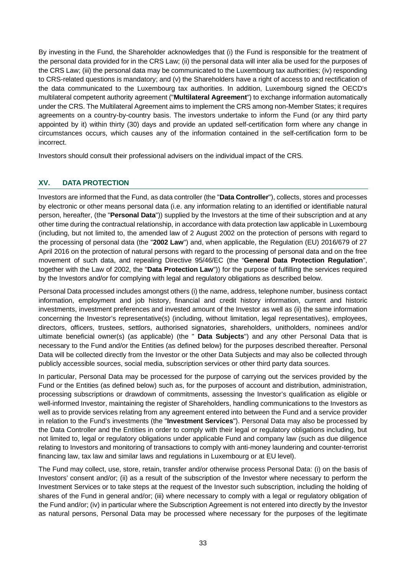By investing in the Fund, the Shareholder acknowledges that (i) the Fund is responsible for the treatment of the personal data provided for in the CRS Law; (ii) the personal data will inter alia be used for the purposes of the CRS Law; (iii) the personal data may be communicated to the Luxembourg tax authorities; (iv) responding to CRS-related questions is mandatory; and (v) the Shareholders have a right of access to and rectification of the data communicated to the Luxembourg tax authorities. In addition, Luxembourg signed the OECD's multilateral competent authority agreement ("**Multilateral Agreement**") to exchange information automatically under the CRS. The Multilateral Agreement aims to implement the CRS among non-Member States; it requires agreements on a country-by-country basis. The investors undertake to inform the Fund (or any third party appointed by it) within thirty (30) days and provide an updated self-certification form where any change in circumstances occurs, which causes any of the information contained in the self-certification form to be incorrect.

Investors should consult their professional advisers on the individual impact of the CRS.

# **XV. DATA PROTECTION**

Investors are informed that the Fund, as data controller (the "**Data Controller**"), collects, stores and processes by electronic or other means personal data (i.e. any information relating to an identified or identifiable natural person, hereafter, (the "**Personal Data**")) supplied by the Investors at the time of their subscription and at any other time during the contractual relationship, in accordance with data protection law applicable in Luxembourg (including, but not limited to, the amended law of 2 August 2002 on the protection of persons with regard to the processing of personal data (the "**2002 Law**") and, when applicable, the Regulation (EU) 2016/679 of 27 April 2016 on the protection of natural persons with regard to the processing of personal data and on the free movement of such data, and repealing Directive 95/46/EC (the "**General Data Protection Regulation**", together with the Law of 2002, the "**Data Protection Law**")) for the purpose of fulfilling the services required by the Investors and/or for complying with legal and regulatory obligations as described below.

Personal Data processed includes amongst others (i) the name, address, telephone number, business contact information, employment and job history, financial and credit history information, current and historic investments, investment preferences and invested amount of the Investor as well as (ii) the same information concerning the Investor's representative(s) (including, without limitation, legal representatives), employees, directors, officers, trustees, settlors, authorised signatories, shareholders, unitholders, nominees and/or ultimate beneficial owner(s) (as applicable) (the " **Data Subjects**") and any other Personal Data that is necessary to the Fund and/or the Entities (as defined below) for the purposes described thereafter. Personal Data will be collected directly from the Investor or the other Data Subjects and may also be collected through publicly accessible sources, social media, subscription services or other third party data sources.

In particular, Personal Data may be processed for the purpose of carrying out the services provided by the Fund or the Entities (as defined below) such as, for the purposes of account and distribution, administration, processing subscriptions or drawdown of commitments, assessing the Investor's qualification as eligible or well-informed Investor, maintaining the register of Shareholders, handling communications to the Investors as well as to provide services relating from any agreement entered into between the Fund and a service provider in relation to the Fund's investments (the "**Investment Services**"). Personal Data may also be processed by the Data Controller and the Entities in order to comply with their legal or regulatory obligations including, but not limited to, legal or regulatory obligations under applicable Fund and company law (such as due diligence relating to Investors and monitoring of transactions to comply with anti-money laundering and counter-terrorist financing law, tax law and similar laws and regulations in Luxembourg or at EU level).

The Fund may collect, use, store, retain, transfer and/or otherwise process Personal Data: (i) on the basis of Investors' consent and/or; (ii) as a result of the subscription of the Investor where necessary to perform the Investment Services or to take steps at the request of the Investor such subscription, including the holding of shares of the Fund in general and/or; (iii) where necessary to comply with a legal or regulatory obligation of the Fund and/or; (iv) in particular where the Subscription Agreement is not entered into directly by the Investor as natural persons, Personal Data may be processed where necessary for the purposes of the legitimate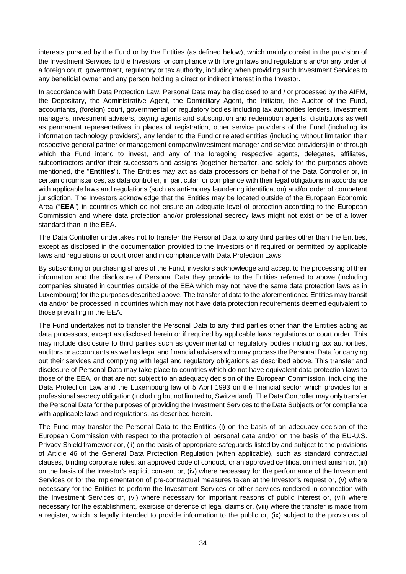interests pursued by the Fund or by the Entities (as defined below), which mainly consist in the provision of the Investment Services to the Investors, or compliance with foreign laws and regulations and/or any order of a foreign court, government, regulatory or tax authority, including when providing such Investment Services to any beneficial owner and any person holding a direct or indirect interest in the Investor.

In accordance with Data Protection Law, Personal Data may be disclosed to and / or processed by the AIFM, the Depositary, the Administrative Agent, the Domiciliary Agent, the Initiator, the Auditor of the Fund, accountants, (foreign) court, governmental or regulatory bodies including tax authorities lenders, investment managers, investment advisers, paying agents and subscription and redemption agents, distributors as well as permanent representatives in places of registration, other service providers of the Fund (including its information technology providers), any lender to the Fund or related entities (including without limitation their respective general partner or management company/investment manager and service providers) in or through which the Fund intend to invest, and any of the foregoing respective agents, delegates, affiliates, subcontractors and/or their successors and assigns (together hereafter, and solely for the purposes above mentioned, the "**Entities**"). The Entities may act as data processors on behalf of the Data Controller or, in certain circumstances, as data controller, in particular for compliance with their legal obligations in accordance with applicable laws and regulations (such as anti-money laundering identification) and/or order of competent jurisdiction. The Investors acknowledge that the Entities may be located outside of the European Economic Area ("**EEA**") in countries which do not ensure an adequate level of protection according to the European Commission and where data protection and/or professional secrecy laws might not exist or be of a lower standard than in the EEA.

The Data Controller undertakes not to transfer the Personal Data to any third parties other than the Entities, except as disclosed in the documentation provided to the Investors or if required or permitted by applicable laws and regulations or court order and in compliance with Data Protection Laws.

By subscribing or purchasing shares of the Fund, investors acknowledge and accept to the processing of their information and the disclosure of Personal Data they provide to the Entities referred to above (including companies situated in countries outside of the EEA which may not have the same data protection laws as in Luxembourg) for the purposes described above. The transfer of data to the aforementioned Entities may transit via and/or be processed in countries which may not have data protection requirements deemed equivalent to those prevailing in the EEA.

The Fund undertakes not to transfer the Personal Data to any third parties other than the Entities acting as data processors, except as disclosed herein or if required by applicable laws regulations or court order. This may include disclosure to third parties such as governmental or regulatory bodies including tax authorities, auditors or accountants as well as legal and financial advisers who may process the Personal Data for carrying out their services and complying with legal and regulatory obligations as described above. This transfer and disclosure of Personal Data may take place to countries which do not have equivalent data protection laws to those of the EEA, or that are not subject to an adequacy decision of the European Commission, including the Data Protection Law and the Luxembourg law of 5 April 1993 on the financial sector which provides for a professional secrecy obligation (including but not limited to, Switzerland). The Data Controller may only transfer the Personal Data for the purposes of providing the Investment Services to the Data Subjects or for compliance with applicable laws and regulations, as described herein.

The Fund may transfer the Personal Data to the Entities (i) on the basis of an adequacy decision of the European Commission with respect to the protection of personal data and/or on the basis of the EU-U.S. Privacy Shield framework or, (ii) on the basis of appropriate safeguards listed by and subject to the provisions of Article 46 of the General Data Protection Regulation (when applicable), such as standard contractual clauses, binding corporate rules, an approved code of conduct, or an approved certification mechanism or, (iii) on the basis of the Investor's explicit consent or, (iv) where necessary for the performance of the Investment Services or for the implementation of pre-contractual measures taken at the Investor's request or, (v) where necessary for the Entities to perform the Investment Services or other services rendered in connection with the Investment Services or, (vi) where necessary for important reasons of public interest or, (vii) where necessary for the establishment, exercise or defence of legal claims or, (viii) where the transfer is made from a register, which is legally intended to provide information to the public or, (ix) subject to the provisions of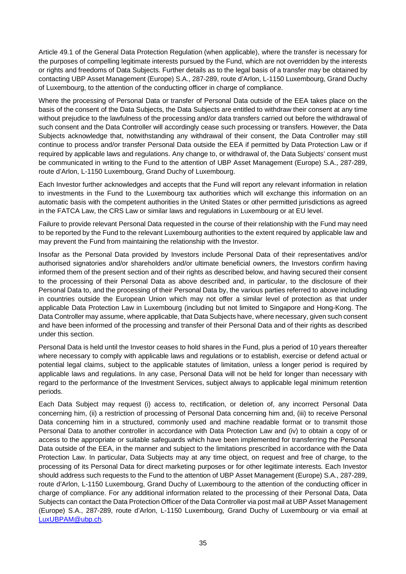Article 49.1 of the General Data Protection Regulation (when applicable), where the transfer is necessary for the purposes of compelling legitimate interests pursued by the Fund, which are not overridden by the interests or rights and freedoms of Data Subjects. Further details as to the legal basis of a transfer may be obtained by contacting UBP Asset Management (Europe) S.A., 287-289, route d'Arlon, L-1150 Luxembourg, Grand Duchy of Luxembourg, to the attention of the conducting officer in charge of compliance.

Where the processing of Personal Data or transfer of Personal Data outside of the EEA takes place on the basis of the consent of the Data Subjects, the Data Subjects are entitled to withdraw their consent at any time without prejudice to the lawfulness of the processing and/or data transfers carried out before the withdrawal of such consent and the Data Controller will accordingly cease such processing or transfers. However, the Data Subjects acknowledge that, notwithstanding any withdrawal of their consent, the Data Controller may still continue to process and/or transfer Personal Data outside the EEA if permitted by Data Protection Law or if required by applicable laws and regulations. Any change to, or withdrawal of, the Data Subjects' consent must be communicated in writing to the Fund to the attention of UBP Asset Management (Europe) S.A., 287-289, route d'Arlon, L-1150 Luxembourg, Grand Duchy of Luxembourg.

Each Investor further acknowledges and accepts that the Fund will report any relevant information in relation to investments in the Fund to the Luxembourg tax authorities which will exchange this information on an automatic basis with the competent authorities in the United States or other permitted jurisdictions as agreed in the FATCA Law, the CRS Law or similar laws and regulations in Luxembourg or at EU level.

Failure to provide relevant Personal Data requested in the course of their relationship with the Fund may need to be reported by the Fund to the relevant Luxembourg authorities to the extent required by applicable law and may prevent the Fund from maintaining the relationship with the Investor.

Insofar as the Personal Data provided by Investors include Personal Data of their representatives and/or authorised signatories and/or shareholders and/or ultimate beneficial owners, the Investors confirm having informed them of the present section and of their rights as described below, and having secured their consent to the processing of their Personal Data as above described and, in particular, to the disclosure of their Personal Data to, and the processing of their Personal Data by, the various parties referred to above including in countries outside the European Union which may not offer a similar level of protection as that under applicable Data Protection Law in Luxembourg (including but not limited to Singapore and Hong-Kong. The Data Controller may assume, where applicable, that Data Subjects have, where necessary, given such consent and have been informed of the processing and transfer of their Personal Data and of their rights as described under this section.

Personal Data is held until the Investor ceases to hold shares in the Fund, plus a period of 10 years thereafter where necessary to comply with applicable laws and regulations or to establish, exercise or defend actual or potential legal claims, subject to the applicable statutes of limitation, unless a longer period is required by applicable laws and regulations. In any case, Personal Data will not be held for longer than necessary with regard to the performance of the Investment Services, subject always to applicable legal minimum retention periods.

Each Data Subject may request (i) access to, rectification, or deletion of, any incorrect Personal Data concerning him, (ii) a restriction of processing of Personal Data concerning him and, (iii) to receive Personal Data concerning him in a structured, commonly used and machine readable format or to transmit those Personal Data to another controller in accordance with Data Protection Law and (iv) to obtain a copy of or access to the appropriate or suitable safeguards which have been implemented for transferring the Personal Data outside of the EEA, in the manner and subject to the limitations prescribed in accordance with the Data Protection Law. In particular, Data Subjects may at any time object, on request and free of charge, to the processing of its Personal Data for direct marketing purposes or for other legitimate interests. Each Investor should address such requests to the Fund to the attention of UBP Asset Management (Europe) S.A., 287-289, route d'Arlon, L-1150 Luxembourg, Grand Duchy of Luxembourg to the attention of the conducting officer in charge of compliance. For any additional information related to the processing of their Personal Data, Data Subjects can contact the Data Protection Officer of the Data Controller via post mail at UBP Asset Management (Europe) S.A., 287-289, route d'Arlon, L-1150 Luxembourg, Grand Duchy of Luxembourg or via email at LuxUBPAM@ubp.ch.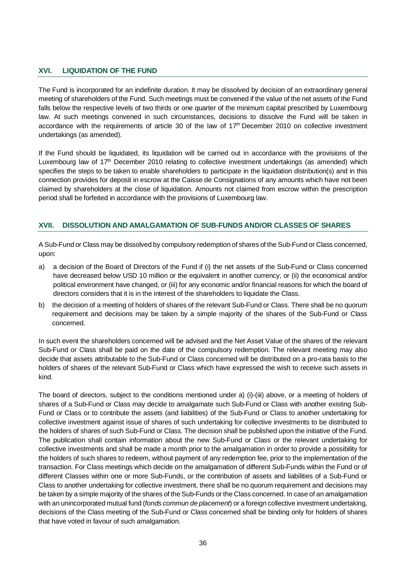#### **XVI. LIQUIDATION OF THE FUND**

The Fund is incorporated for an indefinite duration. It may be dissolved by decision of an extraordinary general meeting of shareholders of the Fund. Such meetings must be convened if the value of the net assets of the Fund falls below the respective levels of two thirds or one quarter of the minimum capital prescribed by Luxembourg law. At such meetings convened in such circumstances, decisions to dissolve the Fund will be taken in accordance with the requirements of article 30 of the law of 17<sup>th</sup> December 2010 on collective investment undertakings (as amended).

If the Fund should be liquidated, its liquidation will be carried out in accordance with the provisions of the Luxembourg law of 17th December 2010 relating to collective investment undertakings (as amended) which specifies the steps to be taken to enable shareholders to participate in the liquidation distribution(s) and in this connection provides for deposit in escrow at the Caisse de Consignations of any amounts which have not been claimed by shareholders at the close of liquidation. Amounts not claimed from escrow within the prescription period shall be forfeited in accordance with the provisions of Luxembourg law.

#### **XVII. DISSOLUTION AND AMALGAMATION OF SUB-FUNDS AND/OR CLASSES OF SHARES**

A Sub-Fund or Class may be dissolved by compulsory redemption of shares of the Sub-Fund or Class concerned, upon:

- a) a decision of the Board of Directors of the Fund if (i) the net assets of the Sub-Fund or Class concerned have decreased below USD 10 million or the equivalent in another currency, or (ii) the economical and/or political environment have changed, or (iii) for any economic and/or financial reasons for which the board of directors considers that it is in the interest of the shareholders to liquidate the Class.
- b) the decision of a meeting of holders of shares of the relevant Sub-Fund or Class. There shall be no quorum requirement and decisions may be taken by a simple majority of the shares of the Sub-Fund or Class concerned.

In such event the shareholders concerned will be advised and the Net Asset Value of the shares of the relevant Sub-Fund or Class shall be paid on the date of the compulsory redemption. The relevant meeting may also decide that assets attributable to the Sub-Fund or Class concerned will be distributed on a pro-rata basis to the holders of shares of the relevant Sub-Fund or Class which have expressed the wish to receive such assets in kind.

The board of directors, subject to the conditions mentioned under a) (i)-(iii) above, or a meeting of holders of shares of a Sub-Fund or Class may decide to amalgamate such Sub-Fund or Class with another existing Sub-Fund or Class or to contribute the assets (and liabilities) of the Sub-Fund or Class to another undertaking for collective investment against issue of shares of such undertaking for collective investments to be distributed to the holders of shares of such Sub-Fund or Class. The decision shall be published upon the initiative of the Fund. The publication shall contain information about the new Sub-Fund or Class or the relevant undertaking for collective investments and shall be made a month prior to the amalgamation in order to provide a possibility for the holders of such shares to redeem, without payment of any redemption fee, prior to the implementation of the transaction. For Class meetings which decide on the amalgamation of different Sub-Funds within the Fund or of different Classes within one or more Sub-Funds, or the contribution of assets and liabilities of a Sub-Fund or Class to another undertaking for collective investment, there shall be no quorum requirement and decisions may be taken by a simple majority of the shares of the Sub-Funds or the Class concerned. In case of an amalgamation with an unincorporated mutual fund (*fonds commun de placement*) or a foreign collective investment undertaking, decisions of the Class meeting of the Sub-Fund or Class concerned shall be binding only for holders of shares that have voted in favour of such amalgamation.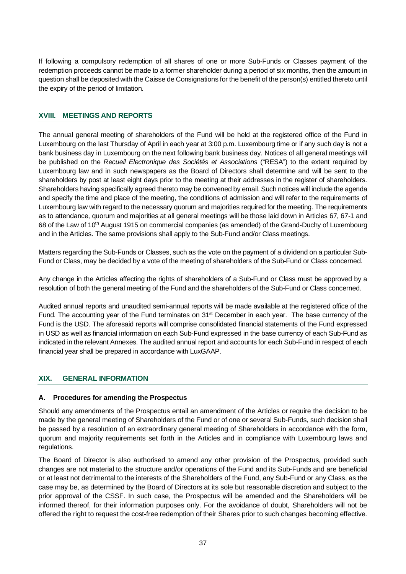If following a compulsory redemption of all shares of one or more Sub-Funds or Classes payment of the redemption proceeds cannot be made to a former shareholder during a period of six months, then the amount in question shall be deposited with the Caisse de Consignations for the benefit of the person(s) entitled thereto until the expiry of the period of limitation.

#### **XVIII. MEETINGS AND REPORTS**

The annual general meeting of shareholders of the Fund will be held at the registered office of the Fund in Luxembourg on the last Thursday of April in each year at 3:00 p.m. Luxembourg time or if any such day is not a bank business day in Luxembourg on the next following bank business day. Notices of all general meetings will be published on the *Recueil Electronique des Sociétés et Associations* ("RESA") to the extent required by Luxembourg law and in such newspapers as the Board of Directors shall determine and will be sent to the shareholders by post at least eight days prior to the meeting at their addresses in the register of shareholders. Shareholders having specifically agreed thereto may be convened by email. Such notices will include the agenda and specify the time and place of the meeting, the conditions of admission and will refer to the requirements of Luxembourg law with regard to the necessary quorum and majorities required for the meeting. The requirements as to attendance, quorum and majorities at all general meetings will be those laid down in Articles 67, 67-1 and 68 of the Law of 10<sup>th</sup> August 1915 on commercial companies (as amended) of the Grand-Duchy of Luxembourg and in the Articles. The same provisions shall apply to the Sub-Fund and/or Class meetings.

Matters regarding the Sub-Funds or Classes, such as the vote on the payment of a dividend on a particular Sub-Fund or Class, may be decided by a vote of the meeting of shareholders of the Sub-Fund or Class concerned.

Any change in the Articles affecting the rights of shareholders of a Sub-Fund or Class must be approved by a resolution of both the general meeting of the Fund and the shareholders of the Sub-Fund or Class concerned.

Audited annual reports and unaudited semi-annual reports will be made available at the registered office of the Fund. The accounting year of the Fund terminates on 31<sup>st</sup> December in each year. The base currency of the Fund is the USD. The aforesaid reports will comprise consolidated financial statements of the Fund expressed in USD as well as financial information on each Sub-Fund expressed in the base currency of each Sub-Fund as indicated in the relevant Annexes. The audited annual report and accounts for each Sub-Fund in respect of each financial year shall be prepared in accordance with LuxGAAP.

# **XIX. GENERAL INFORMATION**

#### **A. Procedures for amending the Prospectus**

Should any amendments of the Prospectus entail an amendment of the Articles or require the decision to be made by the general meeting of Shareholders of the Fund or of one or several Sub-Funds, such decision shall be passed by a resolution of an extraordinary general meeting of Shareholders in accordance with the form, quorum and majority requirements set forth in the Articles and in compliance with Luxembourg laws and regulations.

The Board of Director is also authorised to amend any other provision of the Prospectus, provided such changes are not material to the structure and/or operations of the Fund and its Sub-Funds and are beneficial or at least not detrimental to the interests of the Shareholders of the Fund, any Sub-Fund or any Class, as the case may be, as determined by the Board of Directors at its sole but reasonable discretion and subject to the prior approval of the CSSF. In such case, the Prospectus will be amended and the Shareholders will be informed thereof, for their information purposes only. For the avoidance of doubt, Shareholders will not be offered the right to request the cost-free redemption of their Shares prior to such changes becoming effective.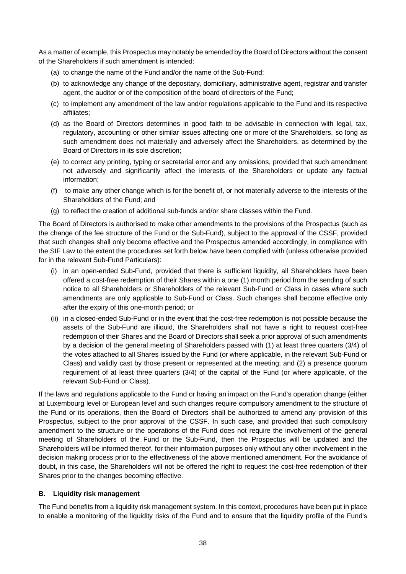As a matter of example, this Prospectus may notably be amended by the Board of Directors without the consent of the Shareholders if such amendment is intended:

- (a) to change the name of the Fund and/or the name of the Sub-Fund;
- (b) to acknowledge any change of the depositary, domiciliary, administrative agent, registrar and transfer agent, the auditor or of the composition of the board of directors of the Fund;
- (c) to implement any amendment of the law and/or regulations applicable to the Fund and its respective affiliates;
- (d) as the Board of Directors determines in good faith to be advisable in connection with legal, tax, regulatory, accounting or other similar issues affecting one or more of the Shareholders, so long as such amendment does not materially and adversely affect the Shareholders, as determined by the Board of Directors in its sole discretion;
- (e) to correct any printing, typing or secretarial error and any omissions, provided that such amendment not adversely and significantly affect the interests of the Shareholders or update any factual information;
- (f) to make any other change which is for the benefit of, or not materially adverse to the interests of the Shareholders of the Fund; and
- (g) to reflect the creation of additional sub-funds and/or share classes within the Fund.

The Board of Directors is authorised to make other amendments to the provisions of the Prospectus (such as the change of the fee structure of the Fund or the Sub-Fund), subject to the approval of the CSSF, provided that such changes shall only become effective and the Prospectus amended accordingly, in compliance with the SIF Law to the extent the procedures set forth below have been complied with (unless otherwise provided for in the relevant Sub-Fund Particulars):

- (i) in an open-ended Sub-Fund, provided that there is sufficient liquidity, all Shareholders have been offered a cost-free redemption of their Shares within a one (1) month period from the sending of such notice to all Shareholders or Shareholders of the relevant Sub-Fund or Class in cases where such amendments are only applicable to Sub-Fund or Class. Such changes shall become effective only after the expiry of this one-month period; or
- (ii) in a closed-ended Sub-Fund or in the event that the cost-free redemption is not possible because the assets of the Sub-Fund are illiquid, the Shareholders shall not have a right to request cost-free redemption of their Shares and the Board of Directors shall seek a prior approval of such amendments by a decision of the general meeting of Shareholders passed with (1) at least three quarters (3/4) of the votes attached to all Shares issued by the Fund (or where applicable, in the relevant Sub-Fund or Class) and validly cast by those present or represented at the meeting; and (2) a presence quorum requirement of at least three quarters (3/4) of the capital of the Fund (or where applicable, of the relevant Sub-Fund or Class).

If the laws and regulations applicable to the Fund or having an impact on the Fund's operation change (either at Luxembourg level or European level and such changes require compulsory amendment to the structure of the Fund or its operations, then the Board of Directors shall be authorized to amend any provision of this Prospectus, subject to the prior approval of the CSSF. In such case, and provided that such compulsory amendment to the structure or the operations of the Fund does not require the involvement of the general meeting of Shareholders of the Fund or the Sub-Fund, then the Prospectus will be updated and the Shareholders will be informed thereof, for their information purposes only without any other involvement in the decision making process prior to the effectiveness of the above mentioned amendment. For the avoidance of doubt, in this case, the Shareholders will not be offered the right to request the cost-free redemption of their Shares prior to the changes becoming effective.

# **B. Liquidity risk management**

The Fund benefits from a liquidity risk management system. In this context, procedures have been put in place to enable a monitoring of the liquidity risks of the Fund and to ensure that the liquidity profile of the Fund's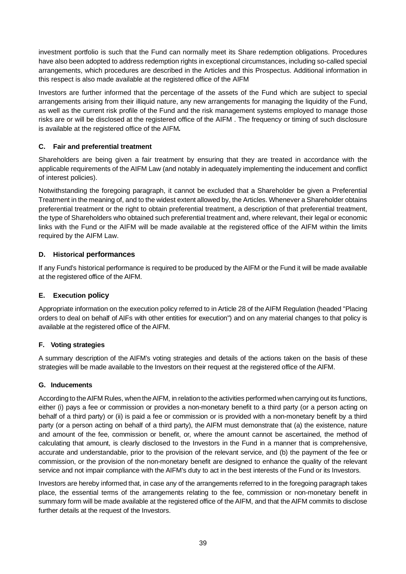investment portfolio is such that the Fund can normally meet its Share redemption obligations. Procedures have also been adopted to address redemption rights in exceptional circumstances, including so-called special arrangements, which procedures are described in the Articles and this Prospectus. Additional information in this respect is also made available at the registered office of the AIFM

Investors are further informed that the percentage of the assets of the Fund which are subject to special arrangements arising from their illiquid nature, any new arrangements for managing the liquidity of the Fund, as well as the current risk profile of the Fund and the risk management systems employed to manage those risks are or will be disclosed at the registered office of the AIFM . The frequency or timing of such disclosure is available at the registered office of the AIFM*.*

# **C. Fair and preferential treatment**

Shareholders are being given a fair treatment by ensuring that they are treated in accordance with the applicable requirements of the AIFM Law (and notably in adequately implementing the inducement and conflict of interest policies).

Notwithstanding the foregoing paragraph, it cannot be excluded that a Shareholder be given a Preferential Treatment in the meaning of, and to the widest extent allowed by, the Articles. Whenever a Shareholder obtains preferential treatment or the right to obtain preferential treatment, a description of that preferential treatment, the type of Shareholders who obtained such preferential treatment and, where relevant, their legal or economic links with the Fund or the AIFM will be made available at the registered office of the AIFM within the limits required by the AIFM Law.

# **D. Historical performances**

If any Fund's historical performance is required to be produced by the AIFM or the Fund it will be made available at the registered office of the AIFM.

# **E. Execution policy**

Appropriate information on the execution policy referred to in Article 28 of the AIFM Regulation (headed "Placing orders to deal on behalf of AIFs with other entities for execution") and on any material changes to that policy is available at the registered office of the AIFM.

#### **F. Voting strategies**

A summary description of the AIFM's voting strategies and details of the actions taken on the basis of these strategies will be made available to the Investors on their request at the registered office of the AIFM.

#### **G. Inducements**

According to the AIFM Rules, when the AIFM, in relation to the activities performed when carrying out its functions, either (i) pays a fee or commission or provides a non-monetary benefit to a third party (or a person acting on behalf of a third party) or (ii) is paid a fee or commission or is provided with a non-monetary benefit by a third party (or a person acting on behalf of a third party), the AIFM must demonstrate that (a) the existence, nature and amount of the fee, commission or benefit, or, where the amount cannot be ascertained, the method of calculating that amount, is clearly disclosed to the Investors in the Fund in a manner that is comprehensive, accurate and understandable, prior to the provision of the relevant service, and (b) the payment of the fee or commission, or the provision of the non-monetary benefit are designed to enhance the quality of the relevant service and not impair compliance with the AIFM's duty to act in the best interests of the Fund or its Investors.

Investors are hereby informed that, in case any of the arrangements referred to in the foregoing paragraph takes place, the essential terms of the arrangements relating to the fee, commission or non-monetary benefit in summary form will be made available at the registered office of the AIFM, and that the AIFM commits to disclose further details at the request of the Investors.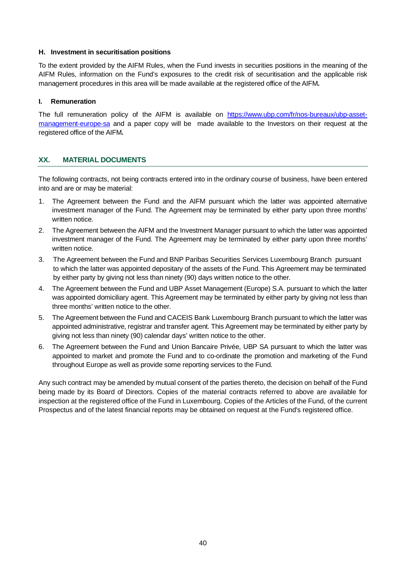#### **H. Investment in securitisation positions**

To the extent provided by the AIFM Rules, when the Fund invests in securities positions in the meaning of the AIFM Rules, information on the Fund's exposures to the credit risk of securitisation and the applicable risk management procedures in this area will be made available at the registered office of the AIFM*.*

#### **I. Remuneration**

The full remuneration policy of the AIFM is available on https://www.ubp.com/fr/nos-bureaux/ubp-assetmanagement-europe-sa and a paper copy will be made available to the Investors on their request at the registered office of the AIFM*.*

# **XX. MATERIAL DOCUMENTS**

The following contracts, not being contracts entered into in the ordinary course of business, have been entered into and are or may be material:

- 1. The Agreement between the Fund and the AIFM pursuant which the latter was appointed alternative investment manager of the Fund. The Agreement may be terminated by either party upon three months' written notice.
- 2. The Agreement between the AIFM and the Investment Manager pursuant to which the latter was appointed investment manager of the Fund. The Agreement may be terminated by either party upon three months' written notice.
- 3. The Agreement between the Fund and BNP Paribas Securities Services Luxembourg Branch pursuant to which the latter was appointed depositary of the assets of the Fund. This Agreement may be terminated by either party by giving not less than ninety (90) days written notice to the other.
- 4. The Agreement between the Fund and UBP Asset Management (Europe) S.A. pursuant to which the latter was appointed domiciliary agent. This Agreement may be terminated by either party by giving not less than three months' written notice to the other.
- 5. The Agreement between the Fund and CACEIS Bank Luxembourg Branch pursuant to which the latter was appointed administrative, registrar and transfer agent. This Agreement may be terminated by either party by giving not less than ninety (90) calendar days' written notice to the other.
- 6. The Agreement between the Fund and Union Bancaire Privée, UBP SA pursuant to which the latter was appointed to market and promote the Fund and to co-ordinate the promotion and marketing of the Fund throughout Europe as well as provide some reporting services to the Fund.

Any such contract may be amended by mutual consent of the parties thereto, the decision on behalf of the Fund being made by its Board of Directors. Copies of the material contracts referred to above are available for inspection at the registered office of the Fund in Luxembourg. Copies of the Articles of the Fund, of the current Prospectus and of the latest financial reports may be obtained on request at the Fund's registered office.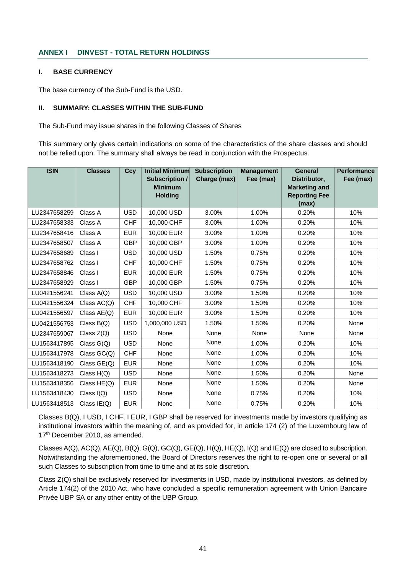#### **ANNEX I DINVEST - TOTAL RETURN HOLDINGS**

#### **I. BASE CURRENCY**

The base currency of the Sub-Fund is the USD.

#### **II. SUMMARY: CLASSES WITHIN THE SUB-FUND**

The Sub-Fund may issue shares in the following Classes of Shares

This summary only gives certain indications on some of the characteristics of the share classes and should not be relied upon. The summary shall always be read in conjunction with the Prospectus.

| <b>ISIN</b>  | <b>Classes</b> | Ccy        | <b>Initial Minimum</b><br><b>Subscription /</b><br><b>Minimum</b><br><b>Holding</b> | <b>Subscription</b><br>Charge (max) | <b>Management</b><br>Fee (max) | <b>General</b><br>Distributor,<br><b>Marketing and</b><br><b>Reporting Fee</b><br>(max) | <b>Performance</b><br>Fee (max) |
|--------------|----------------|------------|-------------------------------------------------------------------------------------|-------------------------------------|--------------------------------|-----------------------------------------------------------------------------------------|---------------------------------|
| LU2347658259 | Class A        | <b>USD</b> | 10,000 USD                                                                          | 3.00%                               | 1.00%                          | 0.20%                                                                                   | 10%                             |
| LU2347658333 | Class A        | <b>CHF</b> | 10,000 CHF                                                                          | 3.00%                               | 1.00%                          | 0.20%                                                                                   | 10%                             |
| LU2347658416 | Class A        | <b>EUR</b> | 10,000 EUR                                                                          | 3.00%                               | 1.00%                          | 0.20%                                                                                   | 10%                             |
| LU2347658507 | Class A        | <b>GBP</b> | 10,000 GBP                                                                          | 3.00%                               | 1.00%                          | 0.20%                                                                                   | 10%                             |
| LU2347658689 | Class I        | <b>USD</b> | 10,000 USD                                                                          | 1.50%                               | 0.75%                          | 0.20%                                                                                   | 10%                             |
| LU2347658762 | Class I        | <b>CHF</b> | 10,000 CHF                                                                          | 1.50%                               | 0.75%                          | 0.20%                                                                                   | 10%                             |
| LU2347658846 | Class I        | <b>EUR</b> | 10,000 EUR                                                                          | 1.50%                               | 0.75%                          | 0.20%                                                                                   | 10%                             |
| LU2347658929 | Class I        | <b>GBP</b> | 10,000 GBP                                                                          | 1.50%                               | 0.75%                          | 0.20%                                                                                   | 10%                             |
| LU0421556241 | Class $A(Q)$   | <b>USD</b> | 10,000 USD                                                                          | 3.00%                               | 1.50%                          | 0.20%                                                                                   | 10%                             |
| LU0421556324 | Class AC(Q)    | <b>CHF</b> | 10,000 CHF                                                                          | 3.00%                               | 1.50%                          | 0.20%                                                                                   | 10%                             |
| LU0421556597 | Class AE(Q)    | <b>EUR</b> | 10,000 EUR                                                                          | 3.00%                               | 1.50%                          | 0.20%                                                                                   | 10%                             |
| LU0421556753 | Class $B(Q)$   | <b>USD</b> | 1,000,000 USD                                                                       | 1.50%                               | 1.50%                          | 0.20%                                                                                   | None                            |
| LU2347659067 | Class Z(Q)     | <b>USD</b> | None                                                                                | None                                | None                           | None                                                                                    | None                            |
| LU1563417895 | Class $G(Q)$   | <b>USD</b> | None                                                                                | None                                | 1.00%                          | 0.20%                                                                                   | 10%                             |
| LU1563417978 | Class GC(Q)    | <b>CHF</b> | None                                                                                | None                                | 1.00%                          | 0.20%                                                                                   | 10%                             |
| LU1563418190 | Class GE(Q)    | <b>EUR</b> | None                                                                                | None                                | 1.00%                          | 0.20%                                                                                   | 10%                             |
| LU1563418273 | Class H(Q)     | <b>USD</b> | None                                                                                | None                                | 1.50%                          | 0.20%                                                                                   | None                            |
| LU1563418356 | Class $HE(Q)$  | <b>EUR</b> | None                                                                                | None                                | 1.50%                          | 0.20%                                                                                   | None                            |
| LU1563418430 | Class $I(Q)$   | <b>USD</b> | None                                                                                | None                                | 0.75%                          | 0.20%                                                                                   | 10%                             |
| LU1563418513 | Class IE(Q)    | <b>EUR</b> | None                                                                                | None                                | 0.75%                          | 0.20%                                                                                   | 10%                             |

Classes B(Q), I USD, I CHF, I EUR, I GBP shall be reserved for investments made by investors qualifying as institutional investors within the meaning of, and as provided for, in article 174 (2) of the Luxembourg law of 17<sup>th</sup> December 2010, as amended.

Classes A(Q), AC(Q), AE(Q), B(Q), G(Q), GC(Q), GE(Q), H(Q), HE(Q), I(Q) and IE(Q) are closed to subscription. Notwithstanding the aforementioned, the Board of Directors reserves the right to re-open one or several or all such Classes to subscription from time to time and at its sole discretion.

Class Z(Q) shall be exclusively reserved for investments in USD, made by institutional investors, as defined by Article 174(2) of the 2010 Act, who have concluded a specific remuneration agreement with Union Bancaire Privée UBP SA or any other entity of the UBP Group.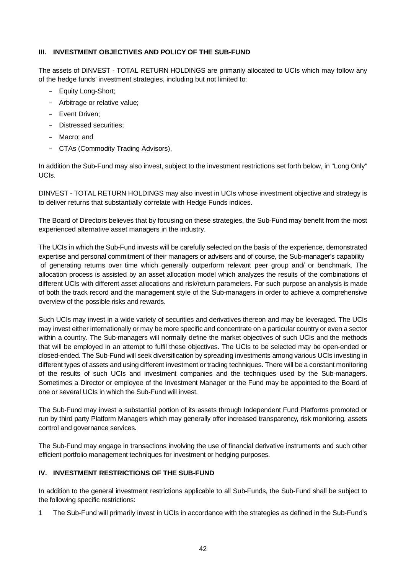#### **III. INVESTMENT OBJECTIVES AND POLICY OF THE SUB-FUND**

The assets of DINVEST - TOTAL RETURN HOLDINGS are primarily allocated to UCIs which may follow any of the hedge funds' investment strategies, including but not limited to:

- Equity Long-Short;
- Arbitrage or relative value;
- Event Driven;
- Distressed securities;
- Macro; and
- CTAs (Commodity Trading Advisors),

In addition the Sub-Fund may also invest, subject to the investment restrictions set forth below, in "Long Only" UCIs.

DINVEST - TOTAL RETURN HOLDINGS may also invest in UCIs whose investment objective and strategy is to deliver returns that substantially correlate with Hedge Funds indices.

The Board of Directors believes that by focusing on these strategies, the Sub-Fund may benefit from the most experienced alternative asset managers in the industry.

The UCIs in which the Sub-Fund invests will be carefully selected on the basis of the experience, demonstrated expertise and personal commitment of their managers or advisers and of course, the Sub-manager's capability of generating returns over time which generally outperform relevant peer group and/ or benchmark. The allocation process is assisted by an asset allocation model which analyzes the results of the combinations of different UCIs with different asset allocations and risk/return parameters. For such purpose an analysis is made of both the track record and the management style of the Sub-managers in order to achieve a comprehensive overview of the possible risks and rewards.

Such UCIs may invest in a wide variety of securities and derivatives thereon and may be leveraged. The UCIs may invest either internationally or may be more specific and concentrate on a particular country or even a sector within a country. The Sub-managers will normally define the market objectives of such UCIs and the methods that will be employed in an attempt to fulfil these objectives. The UCIs to be selected may be open-ended or closed-ended. The Sub-Fund will seek diversification by spreading investments among various UCIs investing in different types of assets and using different investment or trading techniques. There will be a constant monitoring of the results of such UCIs and investment companies and the techniques used by the Sub-managers. Sometimes a Director or employee of the Investment Manager or the Fund may be appointed to the Board of one or several UCIs in which the Sub-Fund will invest.

The Sub-Fund may invest a substantial portion of its assets through Independent Fund Platforms promoted or run by third party Platform Managers which may generally offer increased transparency, risk monitoring, assets control and governance services.

The Sub-Fund may engage in transactions involving the use of financial derivative instruments and such other efficient portfolio management techniques for investment or hedging purposes.

# **IV. INVESTMENT RESTRICTIONS OF THE SUB-FUND**

In addition to the general investment restrictions applicable to all Sub-Funds, the Sub-Fund shall be subject to the following specific restrictions:

1 The Sub-Fund will primarily invest in UCIs in accordance with the strategies as defined in the Sub-Fund's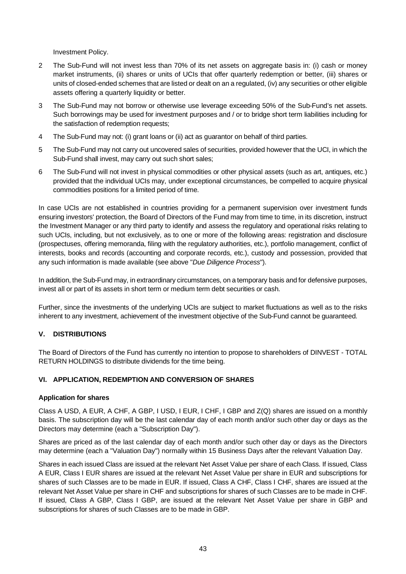Investment Policy.

- 2 The Sub-Fund will not invest less than 70% of its net assets on aggregate basis in: (i) cash or money market instruments, (ii) shares or units of UCIs that offer quarterly redemption or better, (iii) shares or units of closed-ended schemes that are listed or dealt on an a regulated, (iv) any securities or other eligible assets offering a quarterly liquidity or better.
- 3 The Sub-Fund may not borrow or otherwise use leverage exceeding 50% of the Sub-Fund's net assets. Such borrowings may be used for investment purposes and / or to bridge short term liabilities including for the satisfaction of redemption requests;
- 4 The Sub-Fund may not: (i) grant loans or (ii) act as guarantor on behalf of third parties.
- 5 The Sub-Fund may not carry out uncovered sales of securities, provided however that the UCI, in which the Sub-Fund shall invest, may carry out such short sales;
- 6 The Sub-Fund will not invest in physical commodities or other physical assets (such as art, antiques, etc.) provided that the individual UCIs may, under exceptional circumstances, be compelled to acquire physical commodities positions for a limited period of time.

In case UCIs are not established in countries providing for a permanent supervision over investment funds ensuring investors' protection, the Board of Directors of the Fund may from time to time, in its discretion, instruct the Investment Manager or any third party to identify and assess the regulatory and operational risks relating to such UCIs, including, but not exclusively, as to one or more of the following areas: registration and disclosure (prospectuses, offering memoranda, filing with the regulatory authorities, etc.), portfolio management, conflict of interests, books and records (accounting and corporate records, etc.), custody and possession, provided that any such information is made available (see above "*Due Diligence Process*").

In addition, the Sub-Fund may, in extraordinary circumstances, on a temporary basis and for defensive purposes, invest all or part of its assets in short term or medium term debt securities or cash.

Further, since the investments of the underlying UCIs are subject to market fluctuations as well as to the risks inherent to any investment, achievement of the investment objective of the Sub-Fund cannot be guaranteed.

# **V. DISTRIBUTIONS**

The Board of Directors of the Fund has currently no intention to propose to shareholders of DINVEST - TOTAL RETURN HOLDINGS to distribute dividends for the time being.

#### **VI. APPLICATION, REDEMPTION AND CONVERSION OF SHARES**

#### **Application for shares**

Class A USD, A EUR, A CHF, A GBP, I USD, I EUR, I CHF, I GBP and Z(Q) shares are issued on a monthly basis. The subscription day will be the last calendar day of each month and/or such other day or days as the Directors may determine (each a "Subscription Day").

Shares are priced as of the last calendar day of each month and/or such other day or days as the Directors may determine (each a "Valuation Day") normally within 15 Business Days after the relevant Valuation Day.

Shares in each issued Class are issued at the relevant Net Asset Value per share of each Class. If issued, Class A EUR, Class I EUR shares are issued at the relevant Net Asset Value per share in EUR and subscriptions for shares of such Classes are to be made in EUR. If issued, Class A CHF, Class I CHF, shares are issued at the relevant Net Asset Value per share in CHF and subscriptions for shares of such Classes are to be made in CHF. If issued, Class A GBP, Class I GBP, are issued at the relevant Net Asset Value per share in GBP and subscriptions for shares of such Classes are to be made in GBP.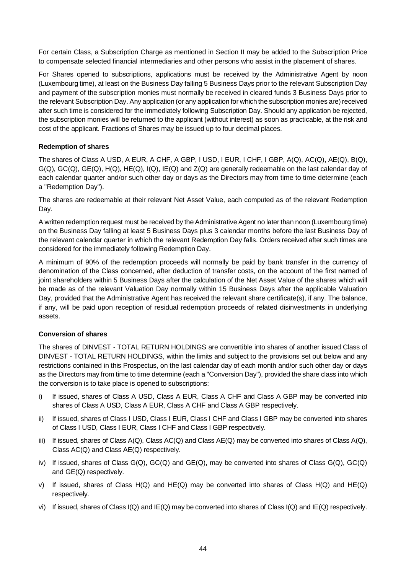For certain Class, a Subscription Charge as mentioned in Section II may be added to the Subscription Price to compensate selected financial intermediaries and other persons who assist in the placement of shares.

For Shares opened to subscriptions, applications must be received by the Administrative Agent by noon (Luxembourg time), at least on the Business Day falling 5 Business Days prior to the relevant Subscription Day and payment of the subscription monies must normally be received in cleared funds 3 Business Days prior to the relevant Subscription Day. Any application (or any application for which the subscription monies are) received after such time is considered for the immediately following Subscription Day. Should any application be rejected, the subscription monies will be returned to the applicant (without interest) as soon as practicable, at the risk and cost of the applicant. Fractions of Shares may be issued up to four decimal places.

#### **Redemption of shares**

The shares of Class A USD, A EUR, A CHF, A GBP, I USD, I EUR, I CHF, I GBP, A(Q), AC(Q), AE(Q), B(Q),  $G(Q)$ ,  $GC(Q)$ ,  $GE(Q)$ ,  $H(Q)$ ,  $HE(Q)$ ,  $I(Q)$ ,  $IE(Q)$  and  $Z(Q)$  are generally redeemable on the last calendar day of each calendar quarter and/or such other day or days as the Directors may from time to time determine (each a "Redemption Day").

The shares are redeemable at their relevant Net Asset Value, each computed as of the relevant Redemption Day.

A written redemption request must be received by the Administrative Agent no later than noon (Luxembourg time) on the Business Day falling at least 5 Business Days plus 3 calendar months before the last Business Day of the relevant calendar quarter in which the relevant Redemption Day falls. Orders received after such times are considered for the immediately following Redemption Day.

A minimum of 90% of the redemption proceeds will normally be paid by bank transfer in the currency of denomination of the Class concerned, after deduction of transfer costs, on the account of the first named of joint shareholders within 5 Business Days after the calculation of the Net Asset Value of the shares which will be made as of the relevant Valuation Day normally within 15 Business Days after the applicable Valuation Day, provided that the Administrative Agent has received the relevant share certificate(s), if any. The balance, if any, will be paid upon reception of residual redemption proceeds of related disinvestments in underlying assets.

#### **Conversion of shares**

The shares of DINVEST - TOTAL RETURN HOLDINGS are convertible into shares of another issued Class of DINVEST - TOTAL RETURN HOLDINGS, within the limits and subject to the provisions set out below and any restrictions contained in this Prospectus, on the last calendar day of each month and/or such other day or days as the Directors may from time to time determine (each a "Conversion Day"), provided the share class into which the conversion is to take place is opened to subscriptions:

- i) If issued, shares of Class A USD, Class A EUR, Class A CHF and Class A GBP may be converted into shares of Class A USD, Class A EUR, Class A CHF and Class A GBP respectively.
- ii) If issued, shares of Class I USD, Class I EUR, Class I CHF and Class I GBP may be converted into shares of Class I USD, Class I EUR, Class I CHF and Class I GBP respectively.
- iii) If issued, shares of Class A(Q), Class AC(Q) and Class AE(Q) may be converted into shares of Class A(Q), Class AC(Q) and Class AE(Q) respectively.
- iv) If issued, shares of Class G(Q), GC(Q) and GE(Q), may be converted into shares of Class G(Q), GC(Q) and GE(Q) respectively.
- v) If issued, shares of Class  $H(Q)$  and  $HE(Q)$  may be converted into shares of Class  $H(Q)$  and  $HE(Q)$ respectively.
- vi) If issued, shares of Class I(Q) and IE(Q) may be converted into shares of Class I(Q) and IE(Q) respectively.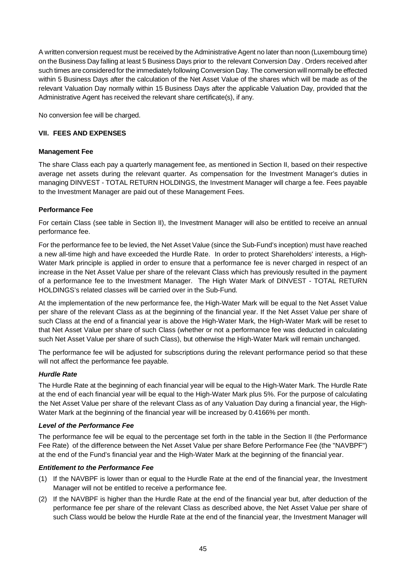A written conversion request must be received by the Administrative Agent no later than noon (Luxembourg time) on the Business Day falling at least 5 Business Days prior to the relevant Conversion Day . Orders received after such times are considered for the immediately following Conversion Day. The conversion will normally be effected within 5 Business Days after the calculation of the Net Asset Value of the shares which will be made as of the relevant Valuation Day normally within 15 Business Days after the applicable Valuation Day, provided that the Administrative Agent has received the relevant share certificate(s), if any.

No conversion fee will be charged.

#### **VII. FEES AND EXPENSES**

#### **Management Fee**

The share Class each pay a quarterly management fee, as mentioned in Section II, based on their respective average net assets during the relevant quarter. As compensation for the Investment Manager's duties in managing DINVEST - TOTAL RETURN HOLDINGS, the Investment Manager will charge a fee. Fees payable to the Investment Manager are paid out of these Management Fees.

# **Performance Fee**

For certain Class (see table in Section II), the Investment Manager will also be entitled to receive an annual performance fee.

For the performance fee to be levied, the Net Asset Value (since the Sub-Fund's inception) must have reached a new all-time high and have exceeded the Hurdle Rate. In order to protect Shareholders' interests, a High-Water Mark principle is applied in order to ensure that a performance fee is never charged in respect of an increase in the Net Asset Value per share of the relevant Class which has previously resulted in the payment of a performance fee to the Investment Manager. The High Water Mark of DINVEST - TOTAL RETURN HOLDINGS's related classes will be carried over in the Sub-Fund.

At the implementation of the new performance fee, the High-Water Mark will be equal to the Net Asset Value per share of the relevant Class as at the beginning of the financial year. If the Net Asset Value per share of such Class at the end of a financial year is above the High-Water Mark, the High-Water Mark will be reset to that Net Asset Value per share of such Class (whether or not a performance fee was deducted in calculating such Net Asset Value per share of such Class), but otherwise the High-Water Mark will remain unchanged.

The performance fee will be adjusted for subscriptions during the relevant performance period so that these will not affect the performance fee payable.

#### *Hurdle Rate*

The Hurdle Rate at the beginning of each financial year will be equal to the High-Water Mark. The Hurdle Rate at the end of each financial year will be equal to the High-Water Mark plus 5%. For the purpose of calculating the Net Asset Value per share of the relevant Class as of any Valuation Day during a financial year, the High-Water Mark at the beginning of the financial year will be increased by 0.4166% per month.

#### *Level of the Performance Fee*

The performance fee will be equal to the percentage set forth in the table in the Section II (the Performance Fee Rate) of the difference between the Net Asset Value per share Before Performance Fee (the "NAVBPF") at the end of the Fund's financial year and the High-Water Mark at the beginning of the financial year.

#### *Entitlement to the Performance Fee*

- (1) If the NAVBPF is lower than or equal to the Hurdle Rate at the end of the financial year, the Investment Manager will not be entitled to receive a performance fee.
- (2) If the NAVBPF is higher than the Hurdle Rate at the end of the financial year but, after deduction of the performance fee per share of the relevant Class as described above, the Net Asset Value per share of such Class would be below the Hurdle Rate at the end of the financial year, the Investment Manager will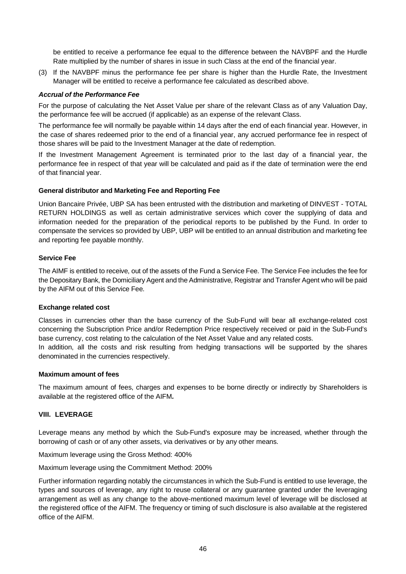be entitled to receive a performance fee equal to the difference between the NAVBPF and the Hurdle Rate multiplied by the number of shares in issue in such Class at the end of the financial year.

(3) If the NAVBPF minus the performance fee per share is higher than the Hurdle Rate, the Investment Manager will be entitled to receive a performance fee calculated as described above.

#### *Accrual of the Performance Fee*

For the purpose of calculating the Net Asset Value per share of the relevant Class as of any Valuation Day, the performance fee will be accrued (if applicable) as an expense of the relevant Class.

The performance fee will normally be payable within 14 days after the end of each financial year. However, in the case of shares redeemed prior to the end of a financial year, any accrued performance fee in respect of those shares will be paid to the Investment Manager at the date of redemption.

If the Investment Management Agreement is terminated prior to the last day of a financial year, the performance fee in respect of that year will be calculated and paid as if the date of termination were the end of that financial year.

#### **General distributor and Marketing Fee and Reporting Fee**

Union Bancaire Privée, UBP SA has been entrusted with the distribution and marketing of DINVEST - TOTAL RETURN HOLDINGS as well as certain administrative services which cover the supplying of data and information needed for the preparation of the periodical reports to be published by the Fund. In order to compensate the services so provided by UBP, UBP will be entitled to an annual distribution and marketing fee and reporting fee payable monthly.

#### **Service Fee**

The AIMF is entitled to receive, out of the assets of the Fund a Service Fee. The Service Fee includes the fee for the Depositary Bank, the Domiciliary Agent and the Administrative, Registrar and Transfer Agent who will be paid by the AIFM out of this Service Fee.

#### **Exchange related cost**

Classes in currencies other than the base currency of the Sub-Fund will bear all exchange-related cost concerning the Subscription Price and/or Redemption Price respectively received or paid in the Sub-Fund's base currency, cost relating to the calculation of the Net Asset Value and any related costs.

In addition, all the costs and risk resulting from hedging transactions will be supported by the shares denominated in the currencies respectively.

#### **Maximum amount of fees**

The maximum amount of fees, charges and expenses to be borne directly or indirectly by Shareholders is available at the registered office of the AIFM*.*

#### **VIII. LEVERAGE**

Leverage means any method by which the Sub-Fund's exposure may be increased, whether through the borrowing of cash or of any other assets, via derivatives or by any other means.

Maximum leverage using the Gross Method: 400%

Maximum leverage using the Commitment Method: 200%

Further information regarding notably the circumstances in which the Sub-Fund is entitled to use leverage, the types and sources of leverage, any right to reuse collateral or any guarantee granted under the leveraging arrangement as well as any change to the above-mentioned maximum level of leverage will be disclosed at the registered office of the AIFM. The frequency or timing of such disclosure is also available at the registered office of the AIFM.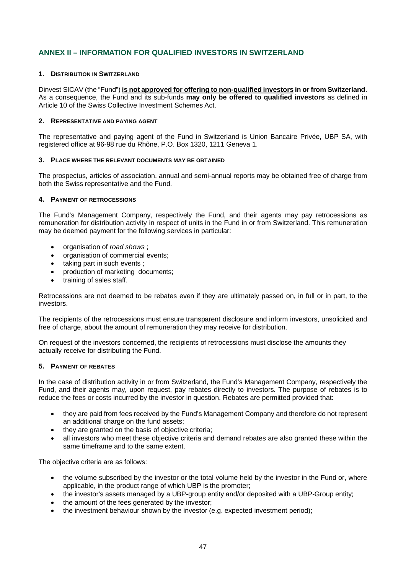# **ANNEX II – INFORMATION FOR QUALIFIED INVESTORS IN SWITZERLAND**

#### **1. DISTRIBUTION IN SWITZERLAND**

Dinvest SICAV (the "Fund") **is not approved for offering to non-qualified investors in or from Switzerland**. As a consequence, the Fund and its sub-funds **may only be offered to qualified investors** as defined in Article 10 of the Swiss Collective Investment Schemes Act.

#### **2. REPRESENTATIVE AND PAYING AGENT**

The representative and paying agent of the Fund in Switzerland is Union Bancaire Privée, UBP SA, with registered office at 96-98 rue du Rhône, P.O. Box 1320, 1211 Geneva 1.

#### **3. PLACE WHERE THE RELEVANT DOCUMENTS MAY BE OBTAINED**

The prospectus, articles of association, annual and semi-annual reports may be obtained free of charge from both the Swiss representative and the Fund.

#### **4. PAYMENT OF RETROCESSIONS**

The Fund's Management Company, respectively the Fund, and their agents may pay retrocessions as remuneration for distribution activity in respect of units in the Fund in or from Switzerland. This remuneration may be deemed payment for the following services in particular:

- · organisation of *road shows* ;
- · organisation of commercial events;
- taking part in such events ;
- production of marketing documents;
- · training of sales staff.

Retrocessions are not deemed to be rebates even if they are ultimately passed on, in full or in part, to the investors.

The recipients of the retrocessions must ensure transparent disclosure and inform investors, unsolicited and free of charge, about the amount of remuneration they may receive for distribution.

On request of the investors concerned, the recipients of retrocessions must disclose the amounts they actually receive for distributing the Fund.

#### **5. PAYMENT OF REBATES**

In the case of distribution activity in or from Switzerland, the Fund's Management Company, respectively the Fund, and their agents may, upon request, pay rebates directly to investors. The purpose of rebates is to reduce the fees or costs incurred by the investor in question. Rebates are permitted provided that:

- · they are paid from fees received by the Fund's Management Company and therefore do not represent an additional charge on the fund assets;
- they are granted on the basis of objective criteria;
- all investors who meet these objective criteria and demand rebates are also granted these within the same timeframe and to the same extent.

The objective criteria are as follows:

- the volume subscribed by the investor or the total volume held by the investor in the Fund or, where applicable, in the product range of which UBP is the promoter;
- · the investor's assets managed by a UBP-group entity and/or deposited with a UBP-Group entity;
- the amount of the fees generated by the investor;
- the investment behaviour shown by the investor (e.g. expected investment period);